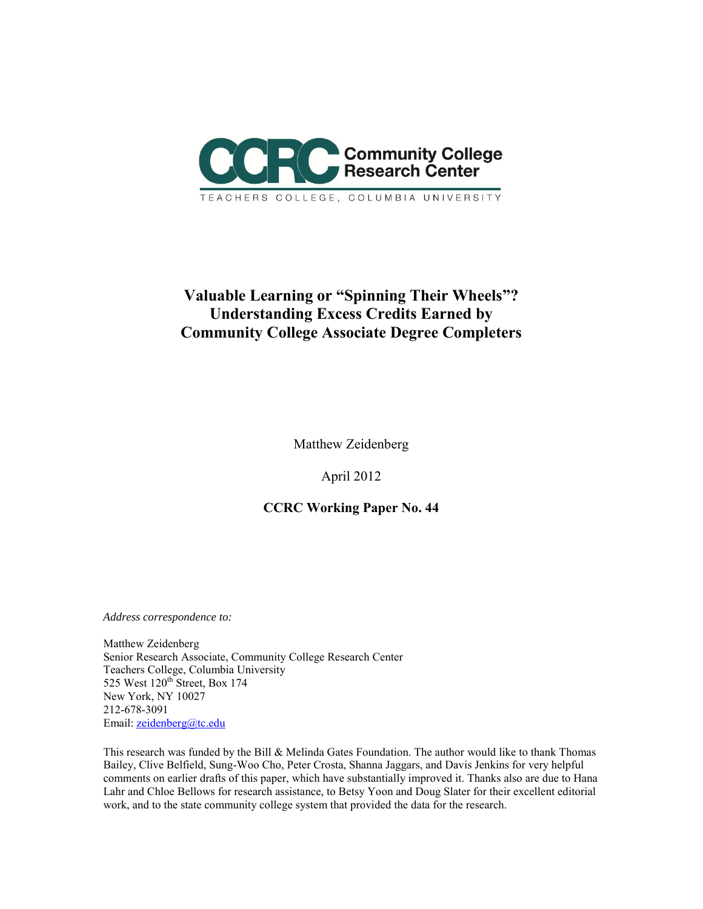

# **Valuable Learning or "Spinning Their Wheels"? Understanding Excess Credits Earned by Community College Associate Degree Completers**

Matthew Zeidenberg

April 2012

# **CCRC Working Paper No. 44**

*Address correspondence to:* 

Matthew Zeidenberg Senior Research Associate, Community College Research Center Teachers College, Columbia University 525 West 120<sup>th</sup> Street, Box 174 New York, NY 10027 212-678-3091 Email: [zeidenberg@tc.edu](mailto:zeidenberg@tc.edu)

This research was funded by the Bill & Melinda Gates Foundation. The author would like to thank Thomas Bailey, Clive Belfield, Sung-Woo Cho, Peter Crosta, Shanna Jaggars, and Davis Jenkins for very helpful comments on earlier drafts of this paper, which have substantially improved it. Thanks also are due to Hana Lahr and Chloe Bellows for research assistance, to Betsy Yoon and Doug Slater for their excellent editorial work, and to the state community college system that provided the data for the research.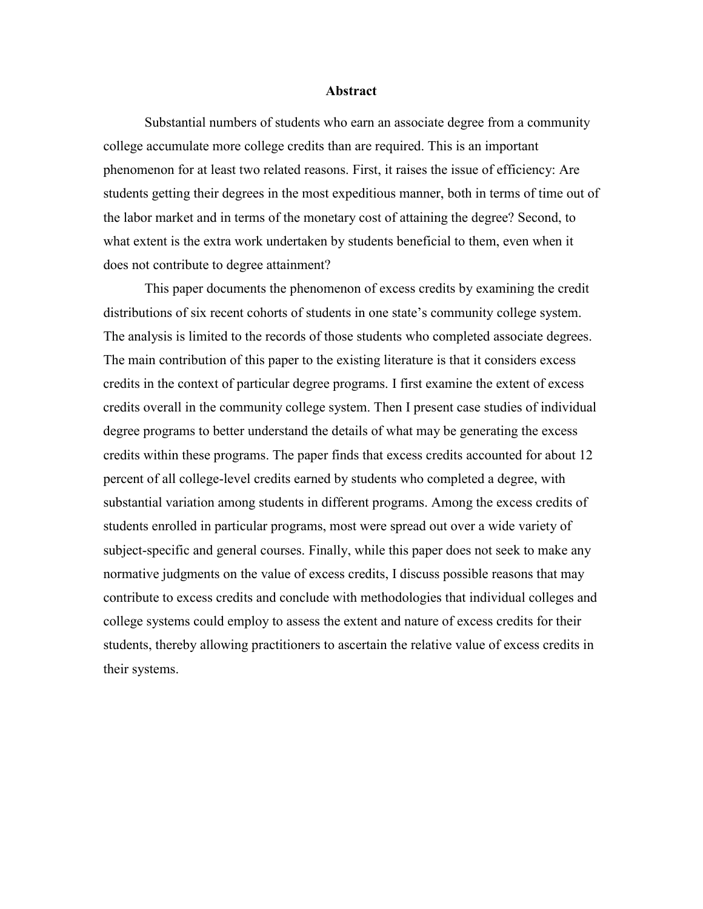#### **Abstract**

Substantial numbers of students who earn an associate degree from a community college accumulate more college credits than are required. This is an important phenomenon for at least two related reasons. First, it raises the issue of efficiency: Are students getting their degrees in the most expeditious manner, both in terms of time out of the labor market and in terms of the monetary cost of attaining the degree? Second, to what extent is the extra work undertaken by students beneficial to them, even when it does not contribute to degree attainment?

This paper documents the phenomenon of excess credits by examining the credit distributions of six recent cohorts of students in one state's community college system. The analysis is limited to the records of those students who completed associate degrees. The main contribution of this paper to the existing literature is that it considers excess credits in the context of particular degree programs. I first examine the extent of excess credits overall in the community college system. Then I present case studies of individual degree programs to better understand the details of what may be generating the excess credits within these programs. The paper finds that excess credits accounted for about 12 percent of all college-level credits earned by students who completed a degree, with substantial variation among students in different programs. Among the excess credits of students enrolled in particular programs, most were spread out over a wide variety of subject-specific and general courses. Finally, while this paper does not seek to make any normative judgments on the value of excess credits, I discuss possible reasons that may contribute to excess credits and conclude with methodologies that individual colleges and college systems could employ to assess the extent and nature of excess credits for their students, thereby allowing practitioners to ascertain the relative value of excess credits in their systems.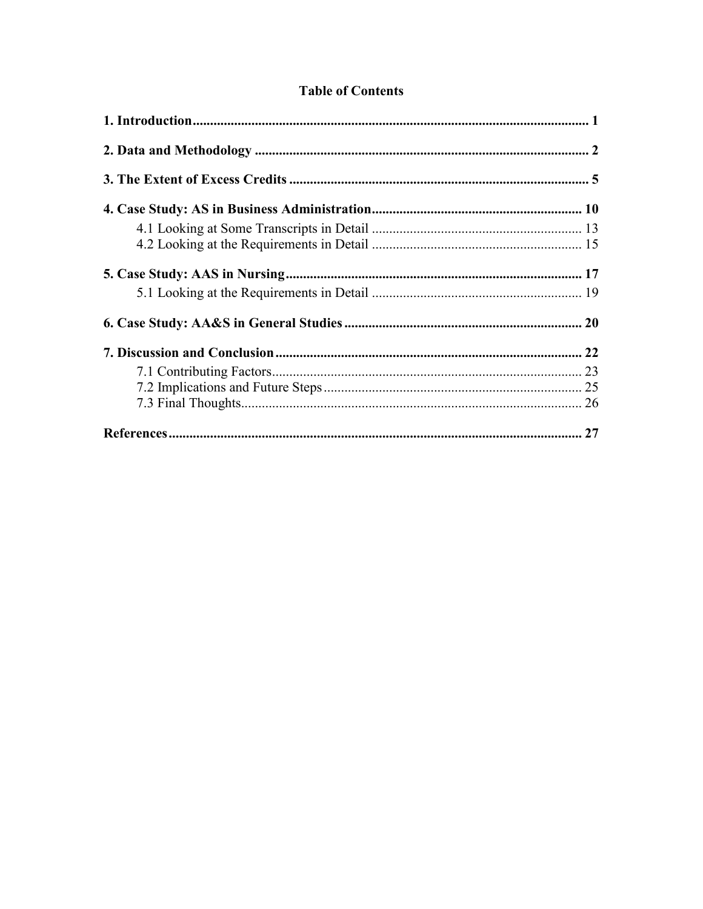| <b>Table of Contents</b> |
|--------------------------|
|--------------------------|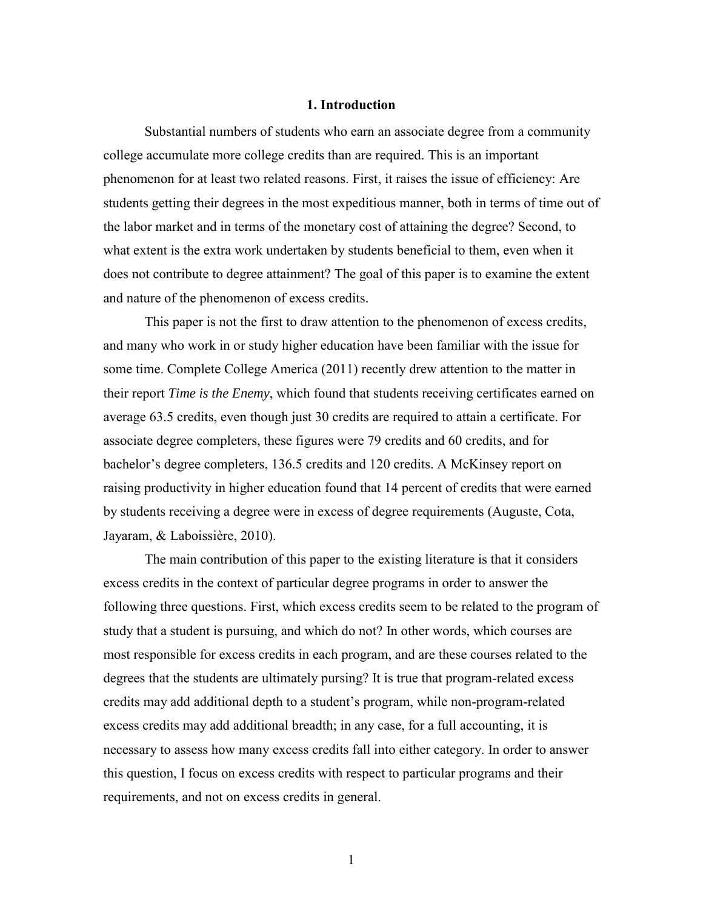#### **1. Introduction**

<span id="page-4-0"></span>Substantial numbers of students who earn an associate degree from a community college accumulate more college credits than are required. This is an important phenomenon for at least two related reasons. First, it raises the issue of efficiency: Are students getting their degrees in the most expeditious manner, both in terms of time out of the labor market and in terms of the monetary cost of attaining the degree? Second, to what extent is the extra work undertaken by students beneficial to them, even when it does not contribute to degree attainment? The goal of this paper is to examine the extent and nature of the phenomenon of excess credits.

This paper is not the first to draw attention to the phenomenon of excess credits, and many who work in or study higher education have been familiar with the issue for some time. Complete College America (2011) recently drew attention to the matter in their report *Time is the Enemy*, which found that students receiving certificates earned on average 63.5 credits, even though just 30 credits are required to attain a certificate. For associate degree completers, these figures were 79 credits and 60 credits, and for bachelor's degree completers, 136.5 credits and 120 credits. A McKinsey report on raising productivity in higher education found that 14 percent of credits that were earned by students receiving a degree were in excess of degree requirements (Auguste, Cota, Jayaram, & Laboissière, 2010).

The main contribution of this paper to the existing literature is that it considers excess credits in the context of particular degree programs in order to answer the following three questions. First, which excess credits seem to be related to the program of study that a student is pursuing, and which do not? In other words, which courses are most responsible for excess credits in each program, and are these courses related to the degrees that the students are ultimately pursing? It is true that program-related excess credits may add additional depth to a student's program, while non-program-related excess credits may add additional breadth; in any case, for a full accounting, it is necessary to assess how many excess credits fall into either category. In order to answer this question, I focus on excess credits with respect to particular programs and their requirements, and not on excess credits in general.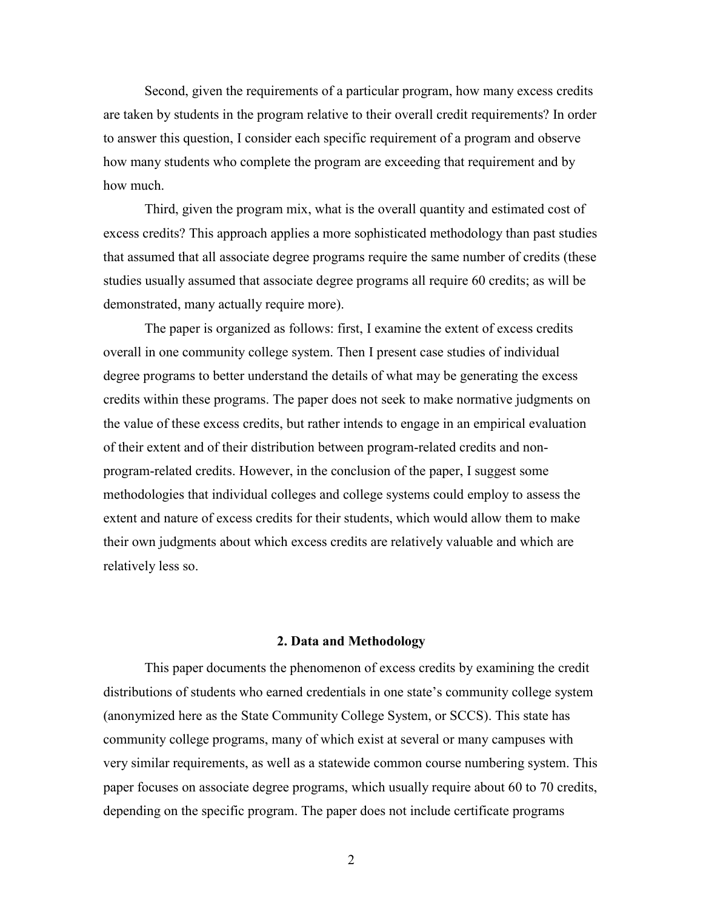Second, given the requirements of a particular program, how many excess credits are taken by students in the program relative to their overall credit requirements? In order to answer this question, I consider each specific requirement of a program and observe how many students who complete the program are exceeding that requirement and by how much.

Third, given the program mix, what is the overall quantity and estimated cost of excess credits? This approach applies a more sophisticated methodology than past studies that assumed that all associate degree programs require the same number of credits (these studies usually assumed that associate degree programs all require 60 credits; as will be demonstrated, many actually require more).

The paper is organized as follows: first, I examine the extent of excess credits overall in one community college system. Then I present case studies of individual degree programs to better understand the details of what may be generating the excess credits within these programs. The paper does not seek to make normative judgments on the value of these excess credits, but rather intends to engage in an empirical evaluation of their extent and of their distribution between program-related credits and nonprogram-related credits. However, in the conclusion of the paper, I suggest some methodologies that individual colleges and college systems could employ to assess the extent and nature of excess credits for their students, which would allow them to make their own judgments about which excess credits are relatively valuable and which are relatively less so.

## **2. Data and Methodology**

<span id="page-5-0"></span>This paper documents the phenomenon of excess credits by examining the credit distributions of students who earned credentials in one state's community college system (anonymized here as the State Community College System, or SCCS). This state has community college programs, many of which exist at several or many campuses with very similar requirements, as well as a statewide common course numbering system. This paper focuses on associate degree programs, which usually require about 60 to 70 credits, depending on the specific program. The paper does not include certificate programs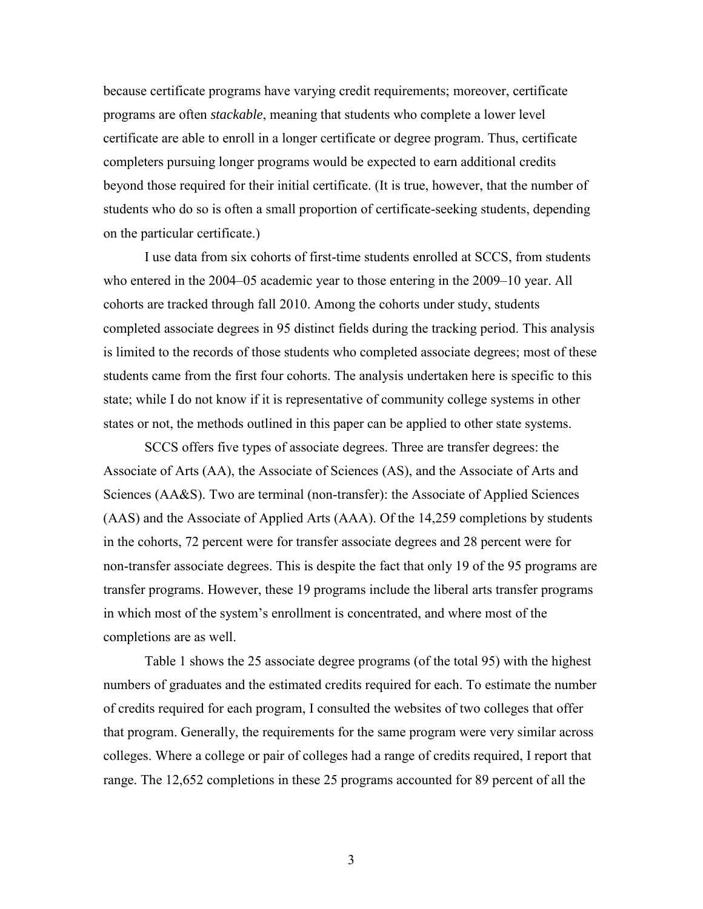because certificate programs have varying credit requirements; moreover, certificate programs are often *stackable*, meaning that students who complete a lower level certificate are able to enroll in a longer certificate or degree program. Thus, certificate completers pursuing longer programs would be expected to earn additional credits beyond those required for their initial certificate. (It is true, however, that the number of students who do so is often a small proportion of certificate-seeking students, depending on the particular certificate.)

I use data from six cohorts of first-time students enrolled at SCCS, from students who entered in the 2004–05 academic year to those entering in the 2009–10 year. All cohorts are tracked through fall 2010. Among the cohorts under study, students completed associate degrees in 95 distinct fields during the tracking period. This analysis is limited to the records of those students who completed associate degrees; most of these students came from the first four cohorts. The analysis undertaken here is specific to this state; while I do not know if it is representative of community college systems in other states or not, the methods outlined in this paper can be applied to other state systems.

SCCS offers five types of associate degrees. Three are transfer degrees: the Associate of Arts (AA), the Associate of Sciences (AS), and the Associate of Arts and Sciences (AA&S). Two are terminal (non-transfer): the Associate of Applied Sciences (AAS) and the Associate of Applied Arts (AAA). Of the 14,259 completions by students in the cohorts, 72 percent were for transfer associate degrees and 28 percent were for non-transfer associate degrees. This is despite the fact that only 19 of the 95 programs are transfer programs. However, these 19 programs include the liberal arts transfer programs in which most of the system's enrollment is concentrated, and where most of the completions are as well.

Table 1 shows the 25 associate degree programs (of the total 95) with the highest numbers of graduates and the estimated credits required for each. To estimate the number of credits required for each program, I consulted the websites of two colleges that offer that program. Generally, the requirements for the same program were very similar across colleges. Where a college or pair of colleges had a range of credits required, I report that range. The 12,652 completions in these 25 programs accounted for 89 percent of all the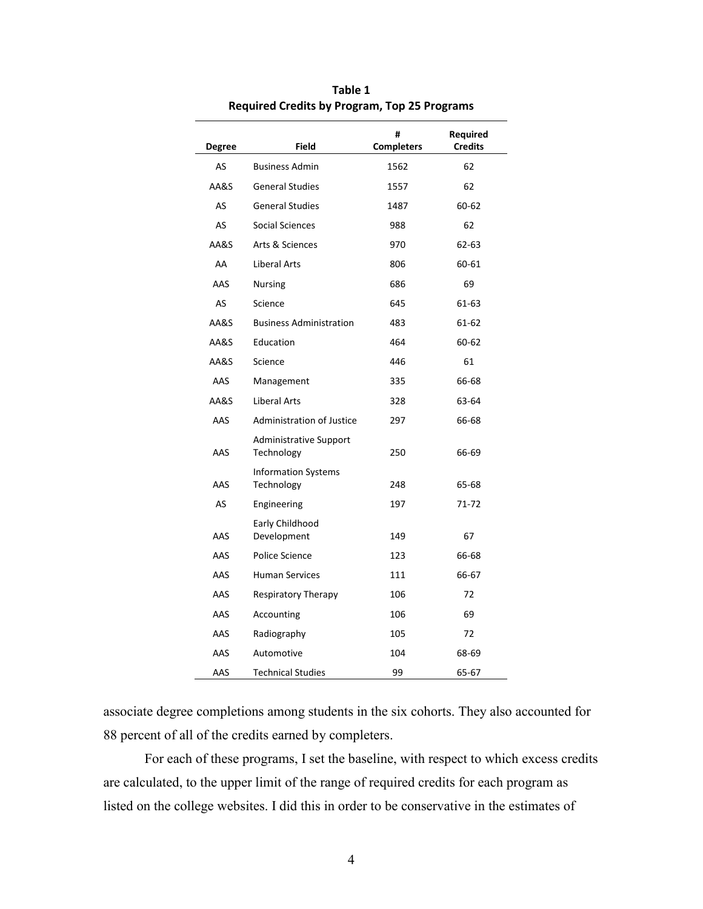| <b>Degree</b> | Field                                    | #<br><b>Completers</b> | Required<br><b>Credits</b> |
|---------------|------------------------------------------|------------------------|----------------------------|
| AS            | <b>Business Admin</b>                    | 1562                   | 62                         |
| AA&S          | <b>General Studies</b>                   | 1557                   | 62                         |
| AS            | <b>General Studies</b>                   | 1487                   | 60-62                      |
| AS            | Social Sciences                          | 988                    | 62                         |
| AA&S          | Arts & Sciences                          | 970                    | 62-63                      |
| AA            | Liberal Arts                             | 806                    | 60-61                      |
| AAS           | <b>Nursing</b>                           | 686                    | 69                         |
| AS            | Science                                  | 645                    | 61-63                      |
| AA&S          | <b>Business Administration</b>           | 483                    | 61-62                      |
| AA&S          | Education                                | 464                    | 60-62                      |
| AA&S          | Science                                  | 446                    | 61                         |
| AAS           | Management                               | 335                    | 66-68                      |
| AA&S          | <b>Liberal Arts</b>                      | 328                    | 63-64                      |
| AAS           | <b>Administration of Justice</b>         | 297                    | 66-68                      |
| AAS           | Administrative Support<br>Technology     | 250                    | 66-69                      |
| AAS           | <b>Information Systems</b><br>Technology | 248                    | 65-68                      |
| AS            | Engineering                              | 197                    | 71-72                      |
| AAS           | Early Childhood<br>Development           | 149                    | 67                         |
| AAS           | Police Science                           | 123                    | 66-68                      |
| AAS           | <b>Human Services</b>                    | 111                    | 66-67                      |
| AAS           | Respiratory Therapy                      | 106                    | 72                         |
| AAS           | Accounting                               | 106                    | 69                         |
| AAS           | Radiography                              | 105                    | 72                         |
| AAS           | Automotive                               | 104                    | 68-69                      |
| AAS           | <b>Technical Studies</b>                 | 99                     | 65-67                      |

**Table 1 Required Credits by Program, Top 25 Programs** 

associate degree completions among students in the six cohorts. They also accounted for 88 percent of all of the credits earned by completers.

 For each of these programs, I set the baseline, with respect to which excess credits are calculated, to the upper limit of the range of required credits for each program as listed on the college websites. I did this in order to be conservative in the estimates of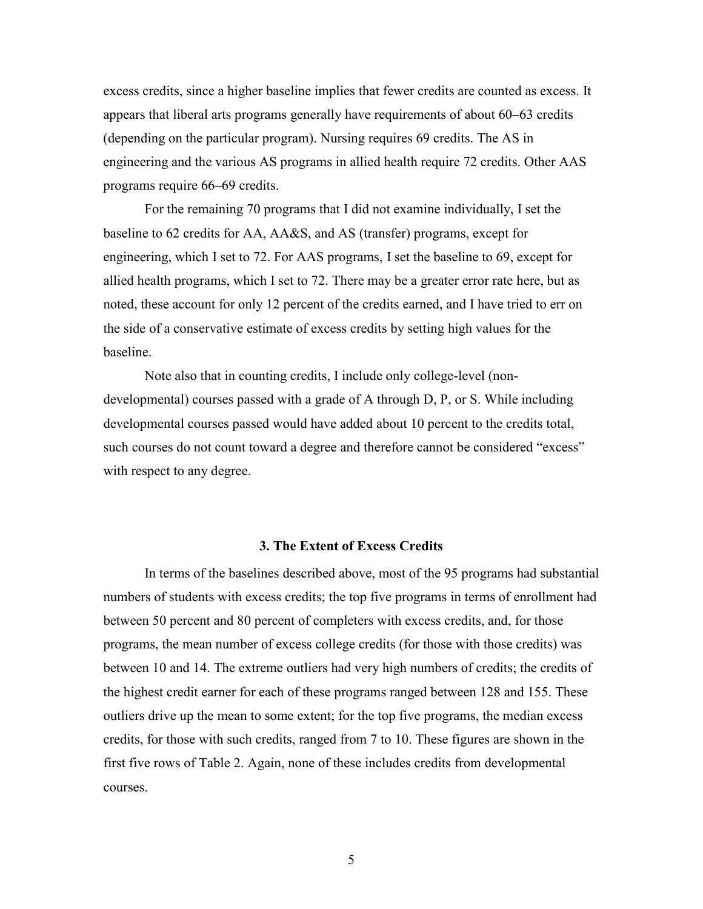excess credits, since a higher baseline implies that fewer credits are counted as excess. It appears that liberal arts programs generally have requirements of about 60–63 credits (depending on the particular program). Nursing requires 69 credits. The AS in engineering and the various AS programs in allied health require 72 credits. Other AAS programs require 66–69 credits.

 For the remaining 70 programs that I did not examine individually, I set the baseline to 62 credits for AA, AA&S, and AS (transfer) programs, except for engineering, which I set to 72. For AAS programs, I set the baseline to 69, except for allied health programs, which I set to 72. There may be a greater error rate here, but as noted, these account for only 12 percent of the credits earned, and I have tried to err on the side of a conservative estimate of excess credits by setting high values for the baseline.

 Note also that in counting credits, I include only college-level (nondevelopmental) courses passed with a grade of A through D, P, or S. While including developmental courses passed would have added about 10 percent to the credits total, such courses do not count toward a degree and therefore cannot be considered "excess" with respect to any degree.

#### **3. The Extent of Excess Credits**

<span id="page-8-0"></span>In terms of the baselines described above, most of the 95 programs had substantial numbers of students with excess credits; the top five programs in terms of enrollment had between 50 percent and 80 percent of completers with excess credits, and, for those programs, the mean number of excess college credits (for those with those credits) was between 10 and 14. The extreme outliers had very high numbers of credits; the credits of the highest credit earner for each of these programs ranged between 128 and 155. These outliers drive up the mean to some extent; for the top five programs, the median excess credits, for those with such credits, ranged from 7 to 10. These figures are shown in the first five rows of Table 2. Again, none of these includes credits from developmental courses.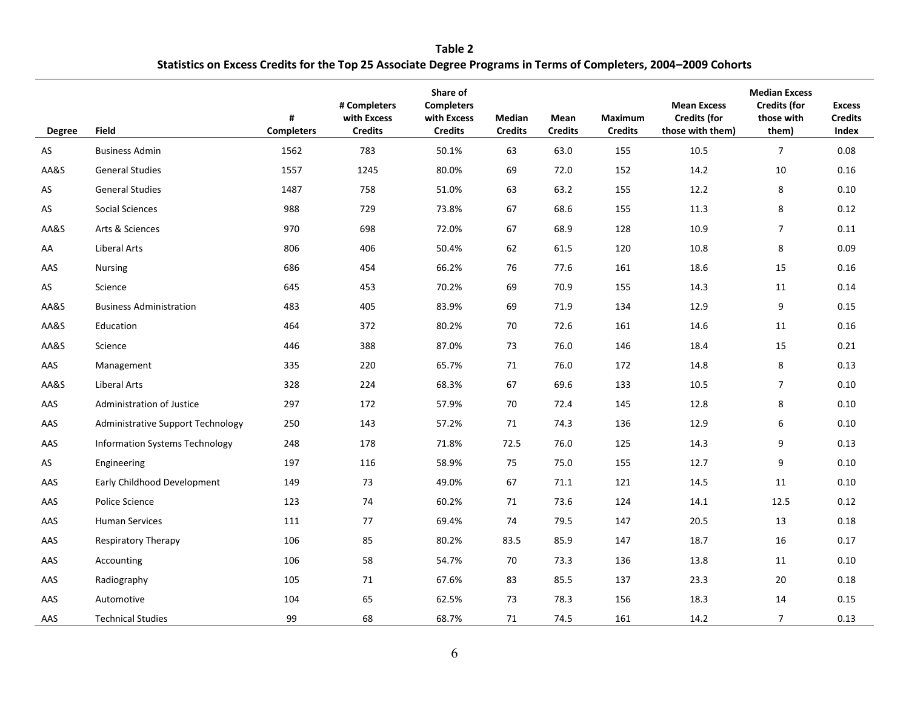**Table 2 Statistics on Excess Credits for the Top 25 Associate Degree Programs in Terms of Completers, 2004–2009 Cohorts** 

| <b>Degree</b> | <b>Field</b>                             | #<br><b>Completers</b> | # Completers<br>with Excess<br><b>Credits</b> | Share of<br><b>Completers</b><br>with Excess<br><b>Credits</b> | Median<br><b>Credits</b> | Mean<br><b>Credits</b> | Maximum<br><b>Credits</b> | <b>Mean Excess</b><br><b>Credits (for</b><br>those with them) | <b>Median Excess</b><br><b>Credits (for</b><br>those with<br>them) | <b>Excess</b><br><b>Credits</b><br>Index |
|---------------|------------------------------------------|------------------------|-----------------------------------------------|----------------------------------------------------------------|--------------------------|------------------------|---------------------------|---------------------------------------------------------------|--------------------------------------------------------------------|------------------------------------------|
| AS            | <b>Business Admin</b>                    | 1562                   | 783                                           | 50.1%                                                          | 63                       | 63.0                   | 155                       | 10.5                                                          | $\overline{7}$                                                     | 0.08                                     |
| AA&S          | <b>General Studies</b>                   | 1557                   | 1245                                          | 80.0%                                                          | 69                       | 72.0                   | 152                       | 14.2                                                          | 10                                                                 | 0.16                                     |
| AS            | <b>General Studies</b>                   | 1487                   | 758                                           | 51.0%                                                          | 63                       | 63.2                   | 155                       | 12.2                                                          | 8                                                                  | 0.10                                     |
| AS            | <b>Social Sciences</b>                   | 988                    | 729                                           | 73.8%                                                          | 67                       | 68.6                   | 155                       | 11.3                                                          | 8                                                                  | 0.12                                     |
| AA&S          | Arts & Sciences                          | 970                    | 698                                           | 72.0%                                                          | 67                       | 68.9                   | 128                       | 10.9                                                          | $\overline{7}$                                                     | 0.11                                     |
| AA            | Liberal Arts                             | 806                    | 406                                           | 50.4%                                                          | 62                       | 61.5                   | 120                       | 10.8                                                          | 8                                                                  | 0.09                                     |
| AAS           | Nursing                                  | 686                    | 454                                           | 66.2%                                                          | 76                       | 77.6                   | 161                       | 18.6                                                          | 15                                                                 | 0.16                                     |
| AS            | Science                                  | 645                    | 453                                           | 70.2%                                                          | 69                       | 70.9                   | 155                       | 14.3                                                          | 11                                                                 | 0.14                                     |
| AA&S          | <b>Business Administration</b>           | 483                    | 405                                           | 83.9%                                                          | 69                       | 71.9                   | 134                       | 12.9                                                          | 9                                                                  | 0.15                                     |
| AA&S          | Education                                | 464                    | 372                                           | 80.2%                                                          | 70                       | 72.6                   | 161                       | 14.6                                                          | 11                                                                 | 0.16                                     |
| AA&S          | Science                                  | 446                    | 388                                           | 87.0%                                                          | 73                       | 76.0                   | 146                       | 18.4                                                          | 15                                                                 | 0.21                                     |
| AAS           | Management                               | 335                    | 220                                           | 65.7%                                                          | 71                       | 76.0                   | 172                       | 14.8                                                          | 8                                                                  | 0.13                                     |
| AA&S          | Liberal Arts                             | 328                    | 224                                           | 68.3%                                                          | 67                       | 69.6                   | 133                       | 10.5                                                          | $\overline{7}$                                                     | 0.10                                     |
| AAS           | Administration of Justice                | 297                    | 172                                           | 57.9%                                                          | 70                       | 72.4                   | 145                       | 12.8                                                          | 8                                                                  | 0.10                                     |
| AAS           | <b>Administrative Support Technology</b> | 250                    | 143                                           | 57.2%                                                          | 71                       | 74.3                   | 136                       | 12.9                                                          | 6                                                                  | 0.10                                     |
| AAS           | Information Systems Technology           | 248                    | 178                                           | 71.8%                                                          | 72.5                     | 76.0                   | 125                       | 14.3                                                          | 9                                                                  | 0.13                                     |
| AS            | Engineering                              | 197                    | 116                                           | 58.9%                                                          | 75                       | 75.0                   | 155                       | 12.7                                                          | 9                                                                  | 0.10                                     |
| AAS           | Early Childhood Development              | 149                    | 73                                            | 49.0%                                                          | 67                       | 71.1                   | 121                       | 14.5                                                          | 11                                                                 | 0.10                                     |
| AAS           | Police Science                           | 123                    | 74                                            | 60.2%                                                          | 71                       | 73.6                   | 124                       | 14.1                                                          | 12.5                                                               | 0.12                                     |
| AAS           | <b>Human Services</b>                    | 111                    | 77                                            | 69.4%                                                          | 74                       | 79.5                   | 147                       | 20.5                                                          | 13                                                                 | 0.18                                     |
| AAS           | <b>Respiratory Therapy</b>               | 106                    | 85                                            | 80.2%                                                          | 83.5                     | 85.9                   | 147                       | 18.7                                                          | 16                                                                 | 0.17                                     |
| AAS           | Accounting                               | 106                    | 58                                            | 54.7%                                                          | 70                       | 73.3                   | 136                       | 13.8                                                          | 11                                                                 | 0.10                                     |
| AAS           | Radiography                              | 105                    | 71                                            | 67.6%                                                          | 83                       | 85.5                   | 137                       | 23.3                                                          | 20                                                                 | 0.18                                     |
| AAS           | Automotive                               | 104                    | 65                                            | 62.5%                                                          | 73                       | 78.3                   | 156                       | 18.3                                                          | 14                                                                 | 0.15                                     |
| AAS           | <b>Technical Studies</b>                 | 99                     | 68                                            | 68.7%                                                          | 71                       | 74.5                   | 161                       | 14.2                                                          | $\overline{7}$                                                     | 0.13                                     |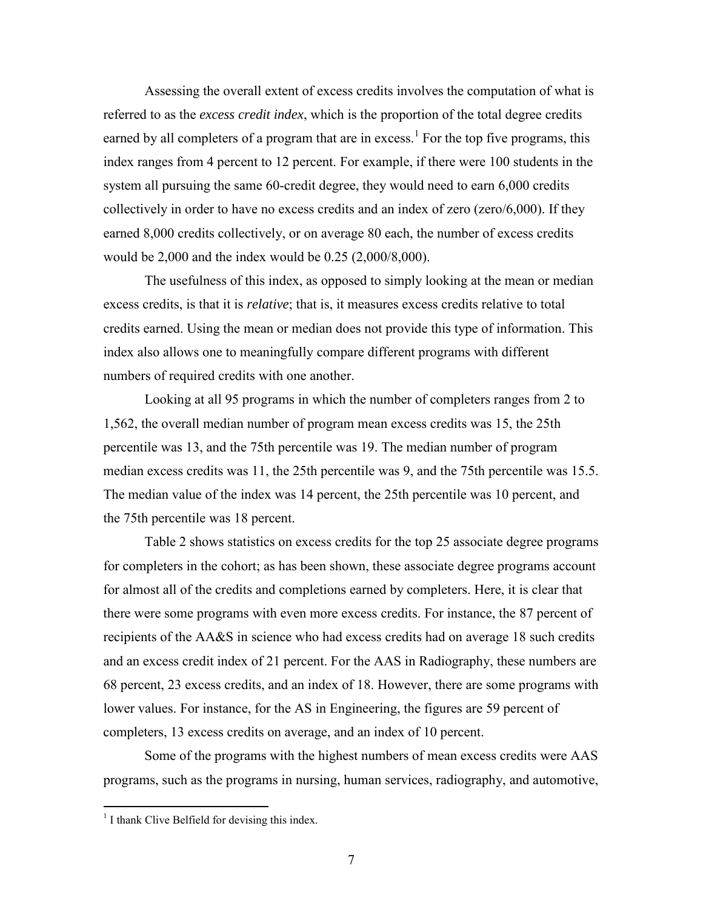Assessing the overall extent of excess credits involves the computation of what is referred to as the *excess credit index*, which is the proportion of the total degree credits earned by all completers of a program that are in excess.<sup>1</sup> For the top five programs, this index ranges from 4 percent to 12 percent. For example, if there were 100 students in the system all pursuing the same 60-credit degree, they would need to earn 6,000 credits collectively in order to have no excess credits and an index of zero (zero/6,000). If they earned 8,000 credits collectively, or on average 80 each, the number of excess credits would be 2,000 and the index would be 0.25 (2,000/8,000).

 The usefulness of this index, as opposed to simply looking at the mean or median excess credits, is that it is *relative*; that is, it measures excess credits relative to total credits earned. Using the mean or median does not provide this type of information. This index also allows one to meaningfully compare different programs with different numbers of required credits with one another.

Looking at all 95 programs in which the number of completers ranges from 2 to 1,562, the overall median number of program mean excess credits was 15, the 25th percentile was 13, and the 75th percentile was 19. The median number of program median excess credits was 11, the 25th percentile was 9, and the 75th percentile was 15.5. The median value of the index was 14 percent, the 25th percentile was 10 percent, and the 75th percentile was 18 percent.

Table 2 shows statistics on excess credits for the top 25 associate degree programs for completers in the cohort; as has been shown, these associate degree programs account for almost all of the credits and completions earned by completers. Here, it is clear that there were some programs with even more excess credits. For instance, the 87 percent of recipients of the AA&S in science who had excess credits had on average 18 such credits and an excess credit index of 21 percent. For the AAS in Radiography, these numbers are 68 percent, 23 excess credits, and an index of 18. However, there are some programs with lower values. For instance, for the AS in Engineering, the figures are 59 percent of completers, 13 excess credits on average, and an index of 10 percent.

Some of the programs with the highest numbers of mean excess credits were AAS programs, such as the programs in nursing, human services, radiography, and automotive,

 $\overline{a}$ 

<sup>&</sup>lt;sup>1</sup> I thank Clive Belfield for devising this index.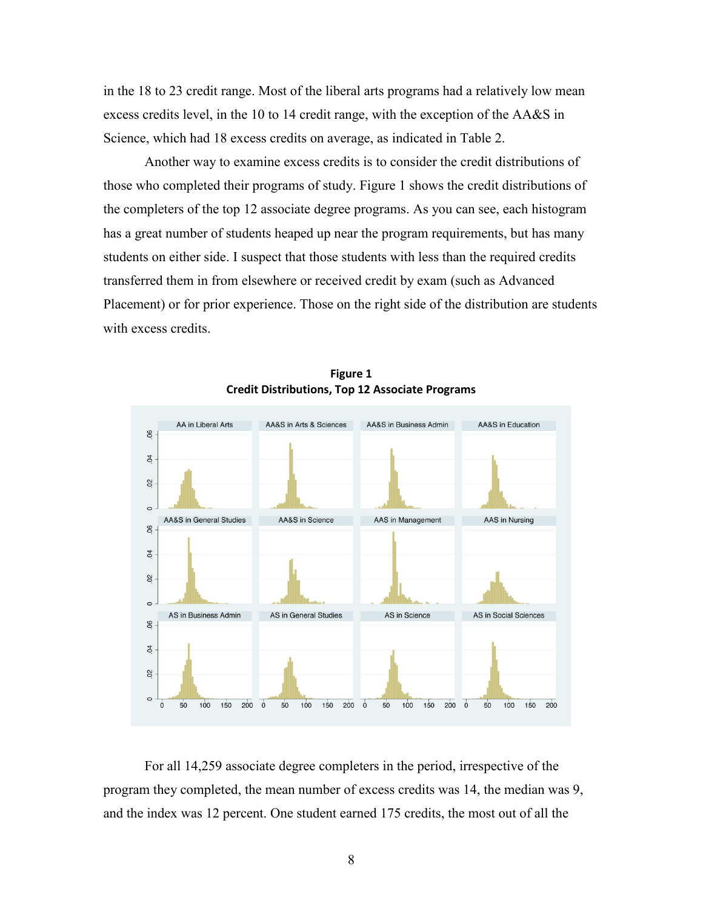in the 18 to 23 credit range. Most of the liberal arts programs had a relatively low mean excess credits level, in the 10 to 14 credit range, with the exception of the AA&S in Science, which had 18 excess credits on average, as indicated in Table 2.

Another way to examine excess credits is to consider the credit distributions of those who completed their programs of study. Figure 1 shows the credit distributions of the completers of the top 12 associate degree programs. As you can see, each histogram has a great number of students heaped up near the program requirements, but has many students on either side. I suspect that those students with less than the required credits transferred them in from elsewhere or received credit by exam (such as Advanced Placement) or for prior experience. Those on the right side of the distribution are students with excess credits.



**Figure 1 Credit Distributions, Top 12 Associate Programs** 

For all 14,259 associate degree completers in the period, irrespective of the program they completed, the mean number of excess credits was 14, the median was 9, and the index was 12 percent. One student earned 175 credits, the most out of all the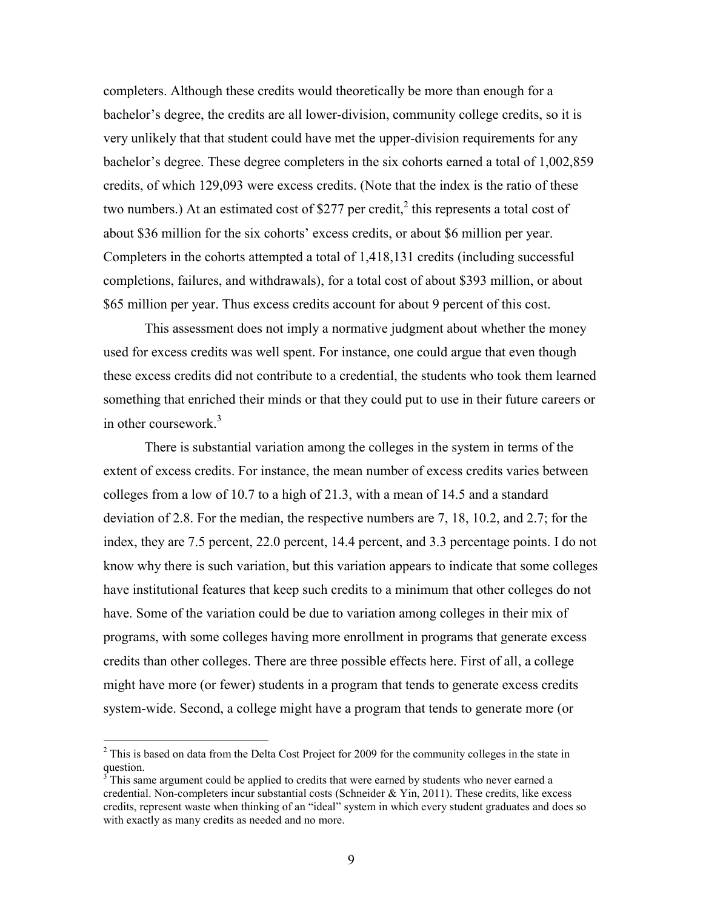completers. Although these credits would theoretically be more than enough for a bachelor's degree, the credits are all lower-division, community college credits, so it is very unlikely that that student could have met the upper-division requirements for any bachelor's degree. These degree completers in the six cohorts earned a total of 1,002,859 credits, of which 129,093 were excess credits. (Note that the index is the ratio of these two numbers.) At an estimated cost of \$277 per credit,<sup>2</sup> this represents a total cost of about \$36 million for the six cohorts' excess credits, or about \$6 million per year. Completers in the cohorts attempted a total of 1,418,131 credits (including successful completions, failures, and withdrawals), for a total cost of about \$393 million, or about \$65 million per year. Thus excess credits account for about 9 percent of this cost.

This assessment does not imply a normative judgment about whether the money used for excess credits was well spent. For instance, one could argue that even though these excess credits did not contribute to a credential, the students who took them learned something that enriched their minds or that they could put to use in their future careers or in other coursework.<sup>3</sup>

There is substantial variation among the colleges in the system in terms of the extent of excess credits. For instance, the mean number of excess credits varies between colleges from a low of 10.7 to a high of 21.3, with a mean of 14.5 and a standard deviation of 2.8. For the median, the respective numbers are 7, 18, 10.2, and 2.7; for the index, they are 7.5 percent, 22.0 percent, 14.4 percent, and 3.3 percentage points. I do not know why there is such variation, but this variation appears to indicate that some colleges have institutional features that keep such credits to a minimum that other colleges do not have. Some of the variation could be due to variation among colleges in their mix of programs, with some colleges having more enrollment in programs that generate excess credits than other colleges. There are three possible effects here. First of all, a college might have more (or fewer) students in a program that tends to generate excess credits system-wide. Second, a college might have a program that tends to generate more (or

<sup>&</sup>lt;sup>2</sup> This is based on data from the Delta Cost Project for 2009 for the community colleges in the state in question.

 $3^3$  This same argument could be applied to credits that were earned by students who never earned a credential. Non-completers incur substantial costs (Schneider & Yin, 2011). These credits, like excess credits, represent waste when thinking of an "ideal" system in which every student graduates and does so with exactly as many credits as needed and no more.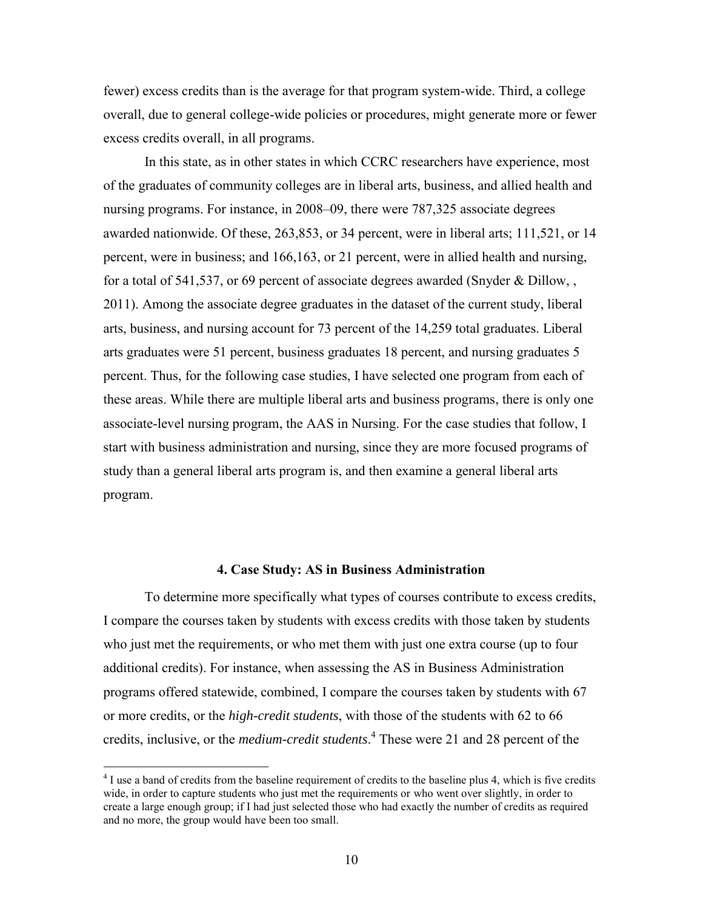fewer) excess credits than is the average for that program system-wide. Third, a college overall, due to general college-wide policies or procedures, might generate more or fewer excess credits overall, in all programs.

In this state, as in other states in which CCRC researchers have experience, most of the graduates of community colleges are in liberal arts, business, and allied health and nursing programs. For instance, in 2008–09, there were 787,325 associate degrees awarded nationwide. Of these, 263,853, or 34 percent, were in liberal arts; 111,521, or 14 percent, were in business; and 166,163, or 21 percent, were in allied health and nursing, for a total of 541,537, or 69 percent of associate degrees awarded (Snyder & Dillow, , 2011). Among the associate degree graduates in the dataset of the current study, liberal arts, business, and nursing account for 73 percent of the 14,259 total graduates. Liberal arts graduates were 51 percent, business graduates 18 percent, and nursing graduates 5 percent. Thus, for the following case studies, I have selected one program from each of these areas. While there are multiple liberal arts and business programs, there is only one associate-level nursing program, the AAS in Nursing. For the case studies that follow, I start with business administration and nursing, since they are more focused programs of study than a general liberal arts program is, and then examine a general liberal arts program.

#### **4. Case Study: AS in Business Administration**

<span id="page-13-0"></span>To determine more specifically what types of courses contribute to excess credits, I compare the courses taken by students with excess credits with those taken by students who just met the requirements, or who met them with just one extra course (up to four additional credits). For instance, when assessing the AS in Business Administration programs offered statewide, combined, I compare the courses taken by students with 67 or more credits, or the *high-credit students*, with those of the students with 62 to 66 credits, inclusive, or the *medium-credit students*. 4 These were 21 and 28 percent of the

<sup>&</sup>lt;sup>4</sup> I use a band of credits from the baseline requirement of credits to the baseline plus 4, which is five credits wide, in order to capture students who just met the requirements or who went over slightly, in order to create a large enough group; if I had just selected those who had exactly the number of credits as required and no more, the group would have been too small.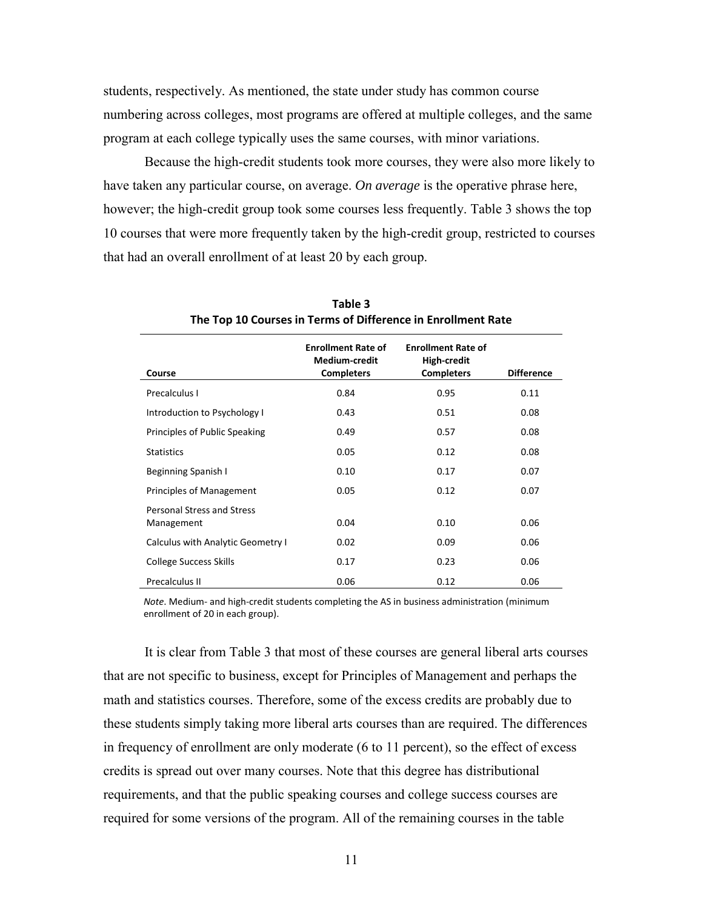students, respectively. As mentioned, the state under study has common course numbering across colleges, most programs are offered at multiple colleges, and the same program at each college typically uses the same courses, with minor variations.

Because the high-credit students took more courses, they were also more likely to have taken any particular course, on average. *On average* is the operative phrase here, however; the high-credit group took some courses less frequently. Table 3 shows the top 10 courses that were more frequently taken by the high-credit group, restricted to courses that had an overall enrollment of at least 20 by each group.

| Course                                          | <b>Enrollment Rate of</b><br><b>Medium-credit</b><br><b>Completers</b> | <b>Enrollment Rate of</b><br>High-credit<br><b>Completers</b> | <b>Difference</b> |
|-------------------------------------------------|------------------------------------------------------------------------|---------------------------------------------------------------|-------------------|
| Precalculus I                                   | 0.84                                                                   | 0.95                                                          | 0.11              |
| Introduction to Psychology I                    | 0.43                                                                   | 0.51                                                          | 0.08              |
| Principles of Public Speaking                   | 0.49                                                                   | 0.57                                                          | 0.08              |
| <b>Statistics</b>                               | 0.05                                                                   | 0.12                                                          | 0.08              |
| <b>Beginning Spanish I</b>                      | 0.10                                                                   | 0.17                                                          | 0.07              |
| Principles of Management                        | 0.05                                                                   | 0.12                                                          | 0.07              |
| <b>Personal Stress and Stress</b><br>Management | 0.04                                                                   | 0.10                                                          | 0.06              |
| <b>Calculus with Analytic Geometry I</b>        | 0.02                                                                   | 0.09                                                          | 0.06              |
| <b>College Success Skills</b>                   | 0.17                                                                   | 0.23                                                          | 0.06              |
| Precalculus II                                  | 0.06                                                                   | 0.12                                                          | 0.06              |

**Table 3 The Top 10 Courses in Terms of Difference in Enrollment Rate** 

*Note*. Medium- and high-credit students completing the AS in business administration (minimum enrollment of 20 in each group).

It is clear from Table 3 that most of these courses are general liberal arts courses that are not specific to business, except for Principles of Management and perhaps the math and statistics courses. Therefore, some of the excess credits are probably due to these students simply taking more liberal arts courses than are required. The differences in frequency of enrollment are only moderate (6 to 11 percent), so the effect of excess credits is spread out over many courses. Note that this degree has distributional requirements, and that the public speaking courses and college success courses are required for some versions of the program. All of the remaining courses in the table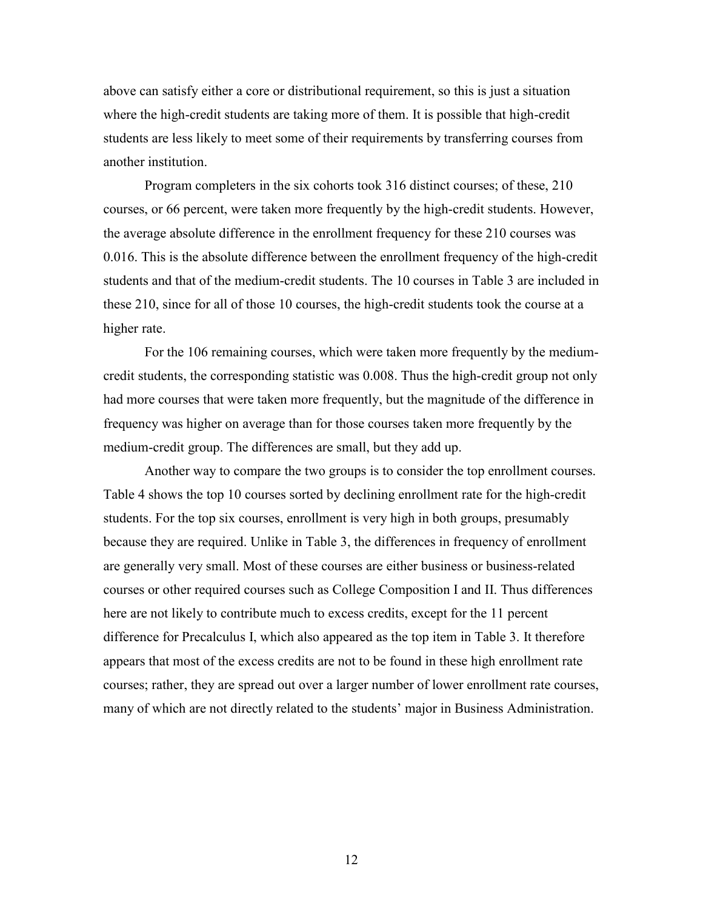above can satisfy either a core or distributional requirement, so this is just a situation where the high-credit students are taking more of them. It is possible that high-credit students are less likely to meet some of their requirements by transferring courses from another institution.

Program completers in the six cohorts took 316 distinct courses; of these, 210 courses, or 66 percent, were taken more frequently by the high-credit students. However, the average absolute difference in the enrollment frequency for these 210 courses was 0.016. This is the absolute difference between the enrollment frequency of the high-credit students and that of the medium-credit students. The 10 courses in Table 3 are included in these 210, since for all of those 10 courses, the high-credit students took the course at a higher rate.

For the 106 remaining courses, which were taken more frequently by the mediumcredit students, the corresponding statistic was 0.008. Thus the high-credit group not only had more courses that were taken more frequently, but the magnitude of the difference in frequency was higher on average than for those courses taken more frequently by the medium-credit group. The differences are small, but they add up.

Another way to compare the two groups is to consider the top enrollment courses. Table 4 shows the top 10 courses sorted by declining enrollment rate for the high-credit students. For the top six courses, enrollment is very high in both groups, presumably because they are required. Unlike in Table 3, the differences in frequency of enrollment are generally very small. Most of these courses are either business or business-related courses or other required courses such as College Composition I and II. Thus differences here are not likely to contribute much to excess credits, except for the 11 percent difference for Precalculus I, which also appeared as the top item in Table 3. It therefore appears that most of the excess credits are not to be found in these high enrollment rate courses; rather, they are spread out over a larger number of lower enrollment rate courses, many of which are not directly related to the students' major in Business Administration.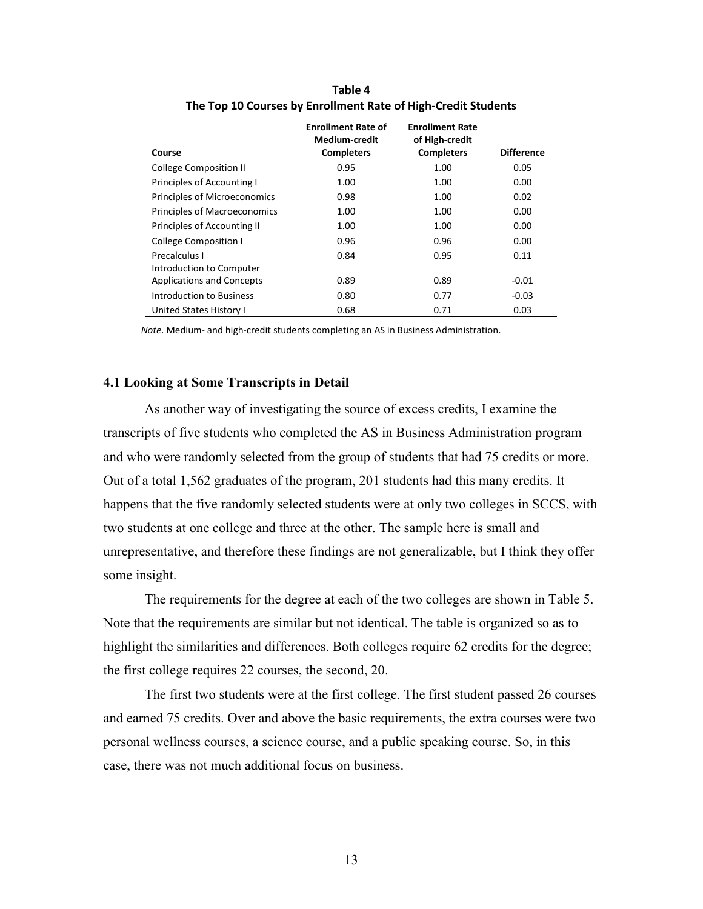|                                     | <b>Enrollment Rate of</b><br><b>Medium-credit</b> | <b>Enrollment Rate</b><br>of High-credit |                   |
|-------------------------------------|---------------------------------------------------|------------------------------------------|-------------------|
| Course                              | <b>Completers</b>                                 | <b>Completers</b>                        | <b>Difference</b> |
| <b>College Composition II</b>       | 0.95                                              | 1.00                                     | 0.05              |
| Principles of Accounting I          | 1.00                                              | 1.00                                     | 0.00              |
| Principles of Microeconomics        | 0.98                                              | 1.00                                     | 0.02              |
| <b>Principles of Macroeconomics</b> | 1.00                                              | 1.00                                     | 0.00              |
| Principles of Accounting II         | 1.00                                              | 1.00                                     | 0.00              |
| <b>College Composition I</b>        | 0.96                                              | 0.96                                     | 0.00              |
| Precalculus I                       | 0.84                                              | 0.95                                     | 0.11              |
| Introduction to Computer            |                                                   |                                          |                   |
| <b>Applications and Concepts</b>    | 0.89                                              | 0.89                                     | $-0.01$           |
| Introduction to Business            | 0.80                                              | 0.77                                     | $-0.03$           |
| United States History I             | 0.68                                              | 0.71                                     | 0.03              |

**Table 4 The Top 10 Courses by Enrollment Rate of High-Credit Students** 

*Note*. Medium- and high-credit students completing an AS in Business Administration.

## <span id="page-16-0"></span>**4.1 Looking at Some Transcripts in Detail**

As another way of investigating the source of excess credits, I examine the transcripts of five students who completed the AS in Business Administration program and who were randomly selected from the group of students that had 75 credits or more. Out of a total 1,562 graduates of the program, 201 students had this many credits. It happens that the five randomly selected students were at only two colleges in SCCS, with two students at one college and three at the other. The sample here is small and unrepresentative, and therefore these findings are not generalizable, but I think they offer some insight.

The requirements for the degree at each of the two colleges are shown in Table 5. Note that the requirements are similar but not identical. The table is organized so as to highlight the similarities and differences. Both colleges require 62 credits for the degree; the first college requires 22 courses, the second, 20.

The first two students were at the first college. The first student passed 26 courses and earned 75 credits. Over and above the basic requirements, the extra courses were two personal wellness courses, a science course, and a public speaking course. So, in this case, there was not much additional focus on business.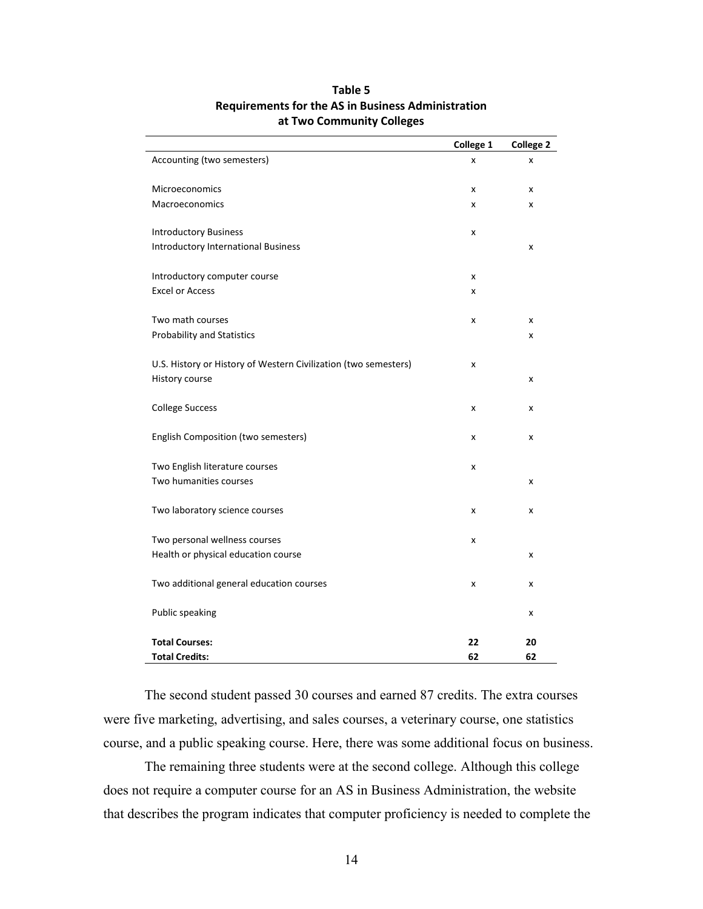|                                                                 | College 1 | <b>College 2</b> |
|-----------------------------------------------------------------|-----------|------------------|
| Accounting (two semesters)                                      | X         | x                |
| Microeconomics                                                  | x         | X                |
| Macroeconomics                                                  | x         | x                |
| <b>Introductory Business</b>                                    | x         |                  |
| <b>Introductory International Business</b>                      |           | x                |
| Introductory computer course                                    | x         |                  |
| <b>Excel or Access</b>                                          | x         |                  |
| Two math courses                                                | x         | X                |
| <b>Probability and Statistics</b>                               |           | x                |
| U.S. History or History of Western Civilization (two semesters) | x         |                  |
| History course                                                  |           | X                |
| <b>College Success</b>                                          | x         | x                |
| English Composition (two semesters)                             | x         | X                |
| Two English literature courses                                  | x         |                  |
| Two humanities courses                                          |           | x                |
| Two laboratory science courses                                  | x         | X                |
| Two personal wellness courses                                   | x         |                  |
| Health or physical education course                             |           | x                |
| Two additional general education courses                        | x         | x                |
| Public speaking                                                 |           | x                |
| <b>Total Courses:</b>                                           | 22        | 20               |
| <b>Total Credits:</b>                                           | 62        | 62               |

## **Table 5 Requirements for the AS in Business Administration at Two Community Colleges**

The second student passed 30 courses and earned 87 credits. The extra courses were five marketing, advertising, and sales courses, a veterinary course, one statistics course, and a public speaking course. Here, there was some additional focus on business.

The remaining three students were at the second college. Although this college does not require a computer course for an AS in Business Administration, the website that describes the program indicates that computer proficiency is needed to complete the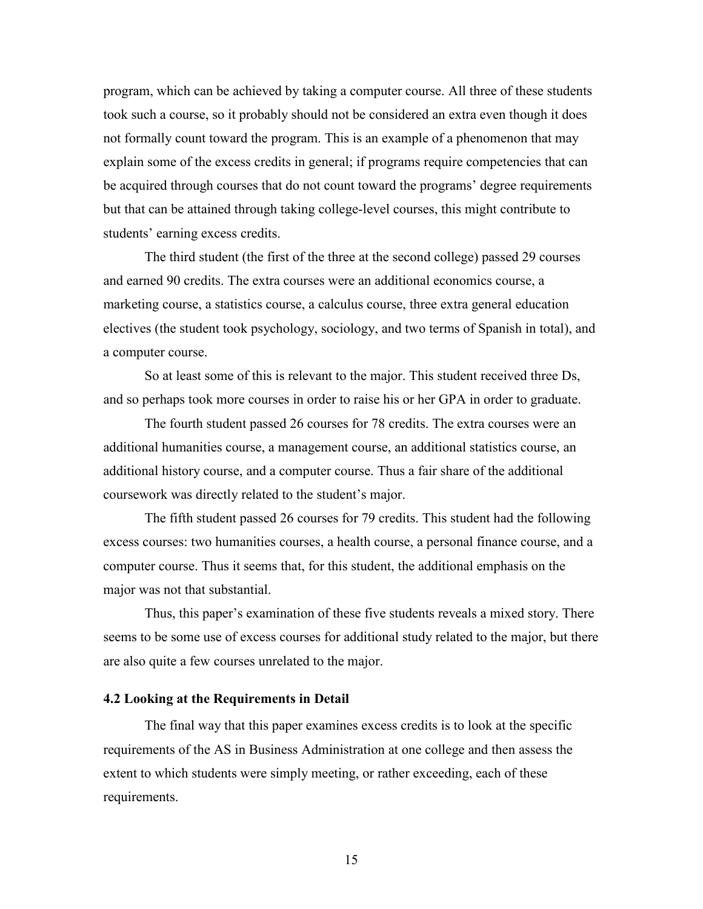program, which can be achieved by taking a computer course. All three of these students took such a course, so it probably should not be considered an extra even though it does not formally count toward the program. This is an example of a phenomenon that may explain some of the excess credits in general; if programs require competencies that can be acquired through courses that do not count toward the programs' degree requirements but that can be attained through taking college-level courses, this might contribute to students' earning excess credits.

The third student (the first of the three at the second college) passed 29 courses and earned 90 credits. The extra courses were an additional economics course, a marketing course, a statistics course, a calculus course, three extra general education electives (the student took psychology, sociology, and two terms of Spanish in total), and a computer course.

So at least some of this is relevant to the major. This student received three Ds, and so perhaps took more courses in order to raise his or her GPA in order to graduate.

The fourth student passed 26 courses for 78 credits. The extra courses were an additional humanities course, a management course, an additional statistics course, an additional history course, and a computer course. Thus a fair share of the additional coursework was directly related to the student's major.

The fifth student passed 26 courses for 79 credits. This student had the following excess courses: two humanities courses, a health course, a personal finance course, and a computer course. Thus it seems that, for this student, the additional emphasis on the major was not that substantial.

Thus, this paper's examination of these five students reveals a mixed story. There seems to be some use of excess courses for additional study related to the major, but there are also quite a few courses unrelated to the major.

#### <span id="page-18-0"></span>**4.2 Looking at the Requirements in Detail**

The final way that this paper examines excess credits is to look at the specific requirements of the AS in Business Administration at one college and then assess the extent to which students were simply meeting, or rather exceeding, each of these requirements.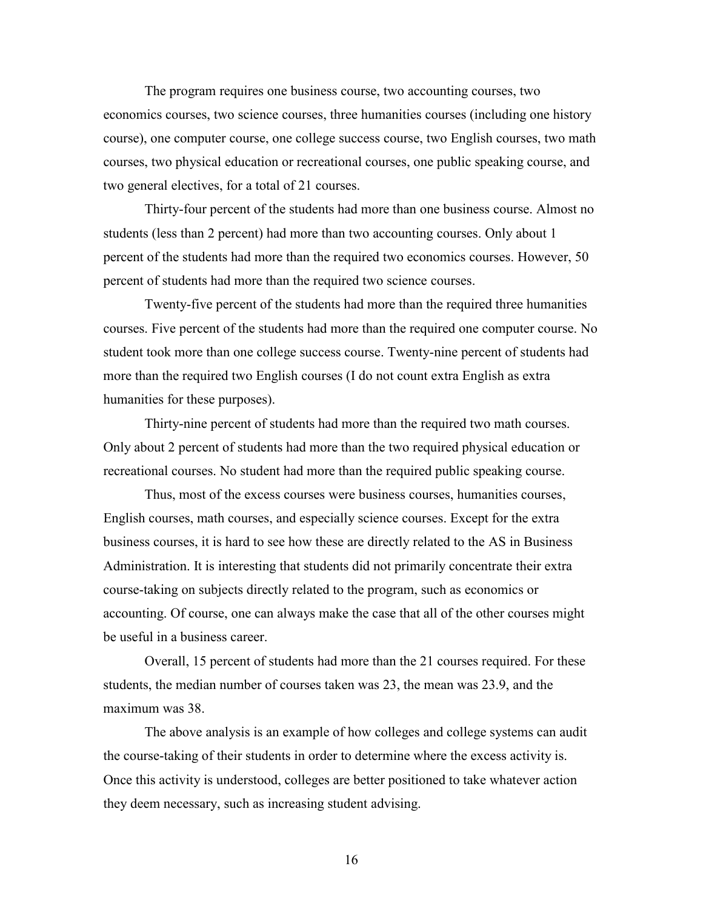The program requires one business course, two accounting courses, two economics courses, two science courses, three humanities courses (including one history course), one computer course, one college success course, two English courses, two math courses, two physical education or recreational courses, one public speaking course, and two general electives, for a total of 21 courses.

Thirty-four percent of the students had more than one business course. Almost no students (less than 2 percent) had more than two accounting courses. Only about 1 percent of the students had more than the required two economics courses. However, 50 percent of students had more than the required two science courses.

Twenty-five percent of the students had more than the required three humanities courses. Five percent of the students had more than the required one computer course. No student took more than one college success course. Twenty-nine percent of students had more than the required two English courses (I do not count extra English as extra humanities for these purposes).

Thirty-nine percent of students had more than the required two math courses. Only about 2 percent of students had more than the two required physical education or recreational courses. No student had more than the required public speaking course.

Thus, most of the excess courses were business courses, humanities courses, English courses, math courses, and especially science courses. Except for the extra business courses, it is hard to see how these are directly related to the AS in Business Administration. It is interesting that students did not primarily concentrate their extra course-taking on subjects directly related to the program, such as economics or accounting. Of course, one can always make the case that all of the other courses might be useful in a business career.

Overall, 15 percent of students had more than the 21 courses required. For these students, the median number of courses taken was 23, the mean was 23.9, and the maximum was 38.

The above analysis is an example of how colleges and college systems can audit the course-taking of their students in order to determine where the excess activity is. Once this activity is understood, colleges are better positioned to take whatever action they deem necessary, such as increasing student advising.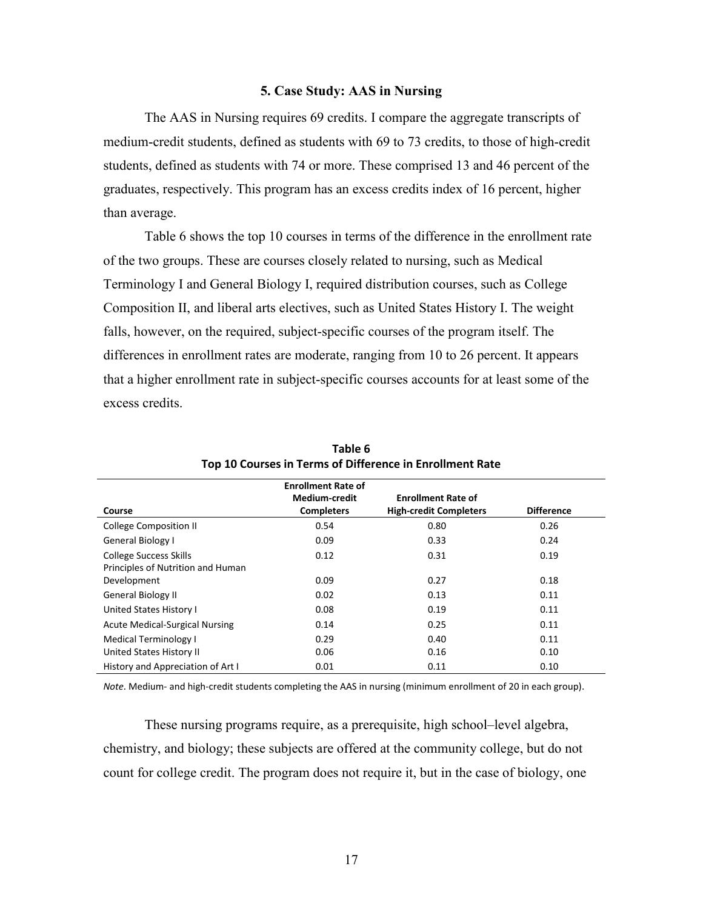#### **5. Case Study: AAS in Nursing**

<span id="page-20-0"></span>The AAS in Nursing requires 69 credits. I compare the aggregate transcripts of medium-credit students, defined as students with 69 to 73 credits, to those of high-credit students, defined as students with 74 or more. These comprised 13 and 46 percent of the graduates, respectively. This program has an excess credits index of 16 percent, higher than average.

Table 6 shows the top 10 courses in terms of the difference in the enrollment rate of the two groups. These are courses closely related to nursing, such as Medical Terminology I and General Biology I, required distribution courses, such as College Composition II, and liberal arts electives, such as United States History I. The weight falls, however, on the required, subject-specific courses of the program itself. The differences in enrollment rates are moderate, ranging from 10 to 26 percent. It appears that a higher enrollment rate in subject-specific courses accounts for at least some of the excess credits.

|                                       | <b>Enrollment Rate of</b><br><b>Medium-credit</b> | <b>Enrollment Rate of</b>     |                   |
|---------------------------------------|---------------------------------------------------|-------------------------------|-------------------|
| Course                                | <b>Completers</b>                                 | <b>High-credit Completers</b> | <b>Difference</b> |
| <b>College Composition II</b>         | 0.54                                              | 0.80                          | 0.26              |
| General Biology I                     | 0.09                                              | 0.33                          | 0.24              |
| <b>College Success Skills</b>         | 0.12                                              | 0.31                          | 0.19              |
| Principles of Nutrition and Human     |                                                   |                               |                   |
| Development                           | 0.09                                              | 0.27                          | 0.18              |
| <b>General Biology II</b>             | 0.02                                              | 0.13                          | 0.11              |
| United States History I               | 0.08                                              | 0.19                          | 0.11              |
| <b>Acute Medical-Surgical Nursing</b> | 0.14                                              | 0.25                          | 0.11              |
| <b>Medical Terminology I</b>          | 0.29                                              | 0.40                          | 0.11              |
| United States History II              | 0.06                                              | 0.16                          | 0.10              |
| History and Appreciation of Art I     | 0.01                                              | 0.11                          | 0.10              |

**Table 6 Top 10 Courses in Terms of Difference in Enrollment Rate** 

*Note*. Medium- and high-credit students completing the AAS in nursing (minimum enrollment of 20 in each group).

These nursing programs require, as a prerequisite, high school–level algebra, chemistry, and biology; these subjects are offered at the community college, but do not count for college credit. The program does not require it, but in the case of biology, one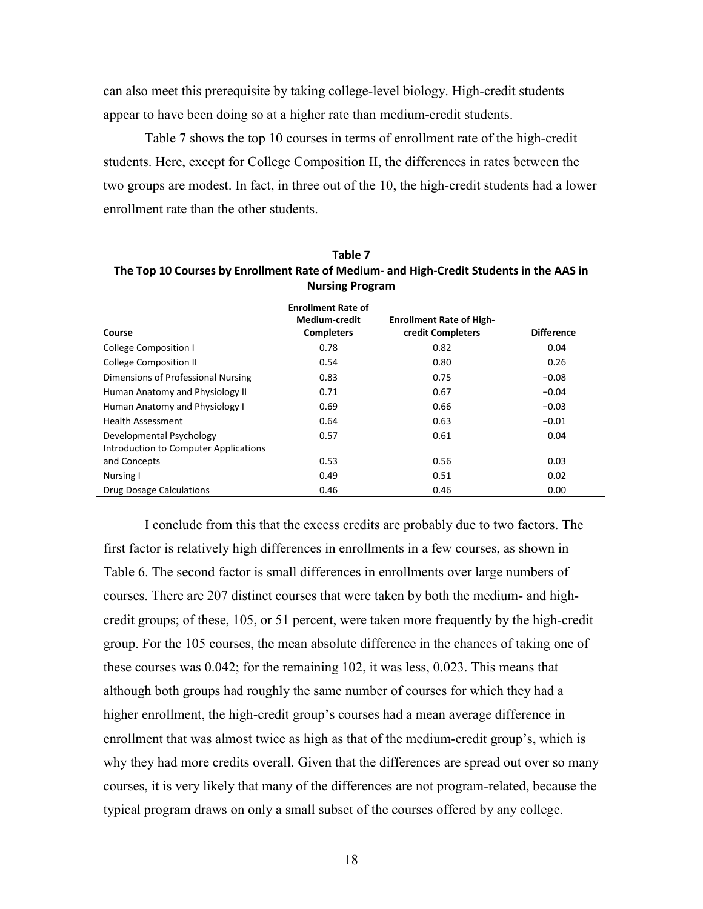can also meet this prerequisite by taking college-level biology. High-credit students appear to have been doing so at a higher rate than medium-credit students.

Table 7 shows the top 10 courses in terms of enrollment rate of the high-credit students. Here, except for College Composition II, the differences in rates between the two groups are modest. In fact, in three out of the 10, the high-credit students had a lower enrollment rate than the other students.

|                                       | <b>Enrollment Rate of</b> |                                 |                   |
|---------------------------------------|---------------------------|---------------------------------|-------------------|
|                                       | <b>Medium-credit</b>      | <b>Enrollment Rate of High-</b> |                   |
| Course                                | <b>Completers</b>         | credit Completers               | <b>Difference</b> |
| College Composition I                 | 0.78                      | 0.82                            | 0.04              |
| <b>College Composition II</b>         | 0.54                      | 0.80                            | 0.26              |
| Dimensions of Professional Nursing    | 0.83                      | 0.75                            | $-0.08$           |
| Human Anatomy and Physiology II       | 0.71                      | 0.67                            | $-0.04$           |
| Human Anatomy and Physiology I        | 0.69                      | 0.66                            | $-0.03$           |
| <b>Health Assessment</b>              | 0.64                      | 0.63                            | $-0.01$           |
| Developmental Psychology              | 0.57                      | 0.61                            | 0.04              |
| Introduction to Computer Applications |                           |                                 |                   |
| and Concepts                          | 0.53                      | 0.56                            | 0.03              |
| Nursing I                             | 0.49                      | 0.51                            | 0.02              |
| Drug Dosage Calculations              | 0.46                      | 0.46                            | 0.00              |

**Table 7 The Top 10 Courses by Enrollment Rate of Medium- and High-Credit Students in the AAS in Nursing Program** 

I conclude from this that the excess credits are probably due to two factors. The first factor is relatively high differences in enrollments in a few courses, as shown in Table 6. The second factor is small differences in enrollments over large numbers of courses. There are 207 distinct courses that were taken by both the medium- and highcredit groups; of these, 105, or 51 percent, were taken more frequently by the high-credit group. For the 105 courses, the mean absolute difference in the chances of taking one of these courses was 0.042; for the remaining 102, it was less, 0.023. This means that although both groups had roughly the same number of courses for which they had a higher enrollment, the high-credit group's courses had a mean average difference in enrollment that was almost twice as high as that of the medium-credit group's, which is why they had more credits overall. Given that the differences are spread out over so many courses, it is very likely that many of the differences are not program-related, because the typical program draws on only a small subset of the courses offered by any college.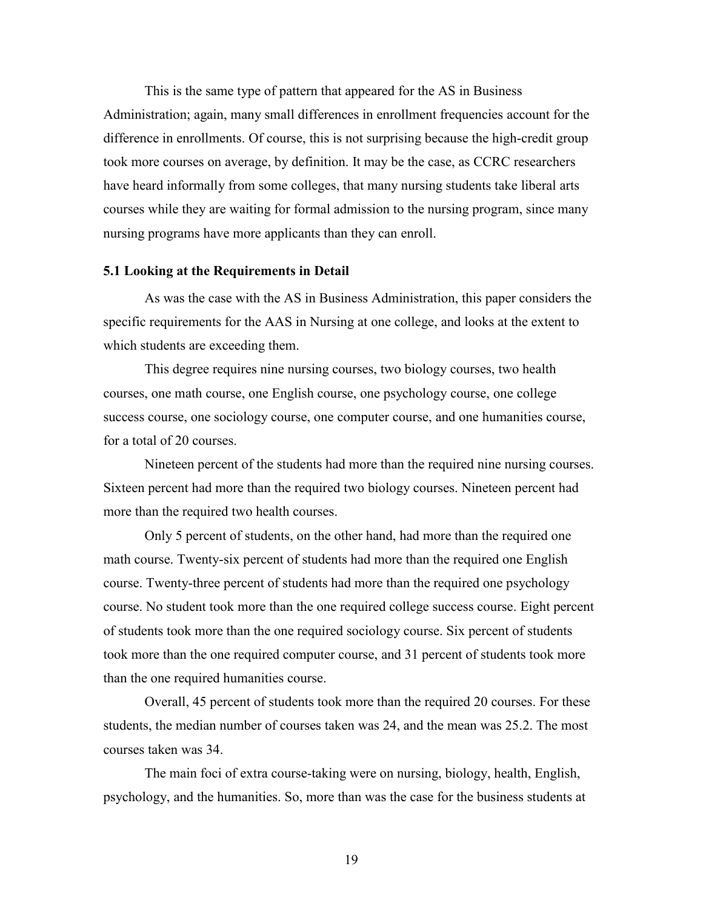This is the same type of pattern that appeared for the AS in Business Administration; again, many small differences in enrollment frequencies account for the difference in enrollments. Of course, this is not surprising because the high-credit group took more courses on average, by definition. It may be the case, as CCRC researchers have heard informally from some colleges, that many nursing students take liberal arts courses while they are waiting for formal admission to the nursing program, since many nursing programs have more applicants than they can enroll.

#### <span id="page-22-0"></span>**5.1 Looking at the Requirements in Detail**

As was the case with the AS in Business Administration, this paper considers the specific requirements for the AAS in Nursing at one college, and looks at the extent to which students are exceeding them.

 This degree requires nine nursing courses, two biology courses, two health courses, one math course, one English course, one psychology course, one college success course, one sociology course, one computer course, and one humanities course, for a total of 20 courses.

 Nineteen percent of the students had more than the required nine nursing courses. Sixteen percent had more than the required two biology courses. Nineteen percent had more than the required two health courses.

 Only 5 percent of students, on the other hand, had more than the required one math course. Twenty-six percent of students had more than the required one English course. Twenty-three percent of students had more than the required one psychology course. No student took more than the one required college success course. Eight percent of students took more than the one required sociology course. Six percent of students took more than the one required computer course, and 31 percent of students took more than the one required humanities course.

 Overall, 45 percent of students took more than the required 20 courses. For these students, the median number of courses taken was 24, and the mean was 25.2. The most courses taken was 34.

The main foci of extra course-taking were on nursing, biology, health, English, psychology, and the humanities. So, more than was the case for the business students at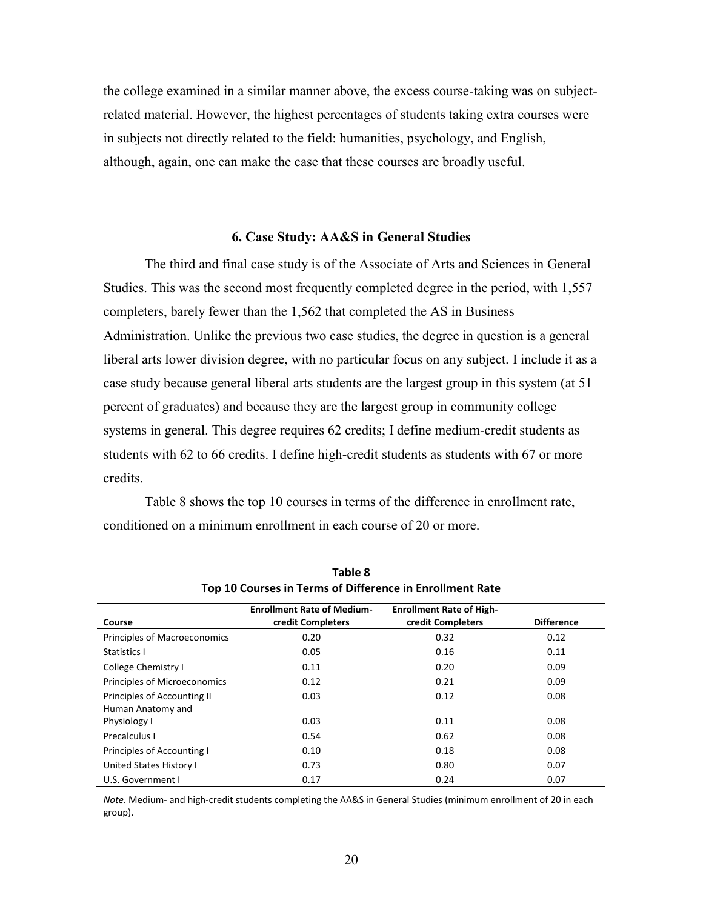the college examined in a similar manner above, the excess course-taking was on subjectrelated material. However, the highest percentages of students taking extra courses were in subjects not directly related to the field: humanities, psychology, and English, although, again, one can make the case that these courses are broadly useful.

### **6. Case Study: AA&S in General Studies**

<span id="page-23-0"></span>The third and final case study is of the Associate of Arts and Sciences in General Studies. This was the second most frequently completed degree in the period, with 1,557 completers, barely fewer than the 1,562 that completed the AS in Business Administration. Unlike the previous two case studies, the degree in question is a general liberal arts lower division degree, with no particular focus on any subject. I include it as a case study because general liberal arts students are the largest group in this system (at 51 percent of graduates) and because they are the largest group in community college systems in general. This degree requires 62 credits; I define medium-credit students as students with 62 to 66 credits. I define high-credit students as students with 67 or more credits.

Table 8 shows the top 10 courses in terms of the difference in enrollment rate, conditioned on a minimum enrollment in each course of 20 or more.

| Course                              | <b>Enrollment Rate of Medium-</b><br>credit Completers | <b>Enrollment Rate of High-</b><br>credit Completers | <b>Difference</b> |
|-------------------------------------|--------------------------------------------------------|------------------------------------------------------|-------------------|
|                                     |                                                        |                                                      |                   |
| <b>Principles of Macroeconomics</b> | 0.20                                                   | 0.32                                                 | 0.12              |
| Statistics I                        | 0.05                                                   | 0.16                                                 | 0.11              |
| College Chemistry I                 | 0.11                                                   | 0.20                                                 | 0.09              |
| Principles of Microeconomics        | 0.12                                                   | 0.21                                                 | 0.09              |
| Principles of Accounting II         | 0.03                                                   | 0.12                                                 | 0.08              |
| Human Anatomy and                   |                                                        |                                                      |                   |
| Physiology I                        | 0.03                                                   | 0.11                                                 | 0.08              |
| Precalculus I                       | 0.54                                                   | 0.62                                                 | 0.08              |
| Principles of Accounting I          | 0.10                                                   | 0.18                                                 | 0.08              |
| United States History I             | 0.73                                                   | 0.80                                                 | 0.07              |
| U.S. Government I                   | 0.17                                                   | 0.24                                                 | 0.07              |

**Table 8 Top 10 Courses in Terms of Difference in Enrollment Rate** 

*Note*. Medium- and high-credit students completing the AA&S in General Studies (minimum enrollment of 20 in each group).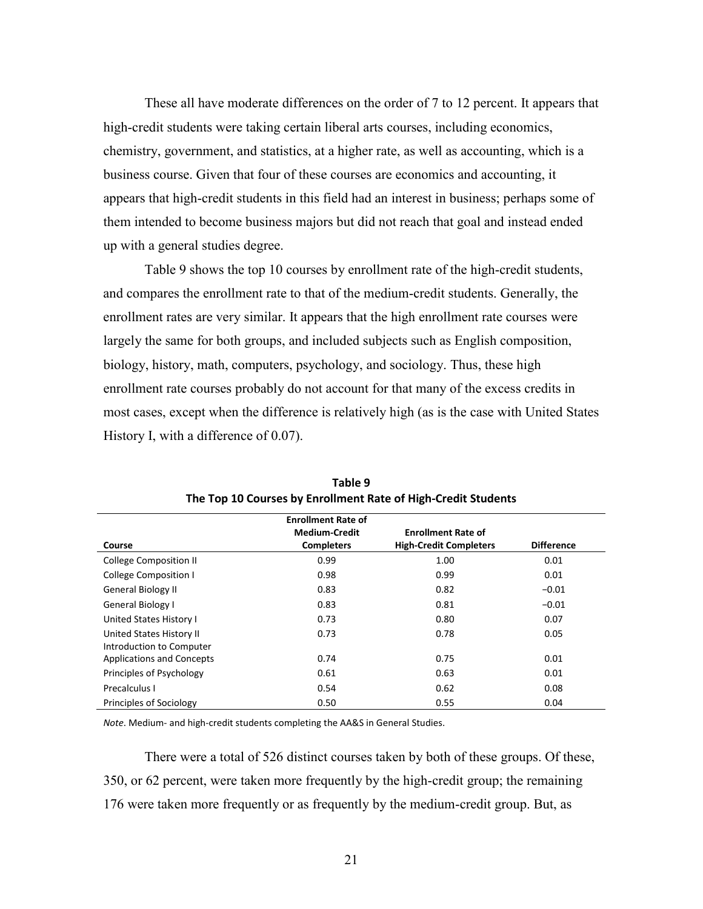These all have moderate differences on the order of 7 to 12 percent. It appears that high-credit students were taking certain liberal arts courses, including economics, chemistry, government, and statistics, at a higher rate, as well as accounting, which is a business course. Given that four of these courses are economics and accounting, it appears that high-credit students in this field had an interest in business; perhaps some of them intended to become business majors but did not reach that goal and instead ended up with a general studies degree.

Table 9 shows the top 10 courses by enrollment rate of the high-credit students, and compares the enrollment rate to that of the medium-credit students. Generally, the enrollment rates are very similar. It appears that the high enrollment rate courses were largely the same for both groups, and included subjects such as English composition, biology, history, math, computers, psychology, and sociology. Thus, these high enrollment rate courses probably do not account for that many of the excess credits in most cases, except when the difference is relatively high (as is the case with United States History I, with a difference of 0.07).

|                                  | <b>Enrollment Rate of</b> |                               |                   |
|----------------------------------|---------------------------|-------------------------------|-------------------|
|                                  | <b>Medium-Credit</b>      | <b>Enrollment Rate of</b>     |                   |
| Course                           | <b>Completers</b>         | <b>High-Credit Completers</b> | <b>Difference</b> |
| <b>College Composition II</b>    | 0.99                      | 1.00                          | 0.01              |
| <b>College Composition I</b>     | 0.98                      | 0.99                          | 0.01              |
| General Biology II               | 0.83                      | 0.82                          | $-0.01$           |
| General Biology I                | 0.83                      | 0.81                          | $-0.01$           |
| United States History I          | 0.73                      | 0.80                          | 0.07              |
| United States History II         | 0.73                      | 0.78                          | 0.05              |
| Introduction to Computer         |                           |                               |                   |
| <b>Applications and Concepts</b> | 0.74                      | 0.75                          | 0.01              |
| Principles of Psychology         | 0.61                      | 0.63                          | 0.01              |
| Precalculus I                    | 0.54                      | 0.62                          | 0.08              |
| <b>Principles of Sociology</b>   | 0.50                      | 0.55                          | 0.04              |

**Table 9 The Top 10 Courses by Enrollment Rate of High-Credit Students** 

*Note*. Medium- and high-credit students completing the AA&S in General Studies.

There were a total of 526 distinct courses taken by both of these groups. Of these, 350, or 62 percent, were taken more frequently by the high-credit group; the remaining 176 were taken more frequently or as frequently by the medium-credit group. But, as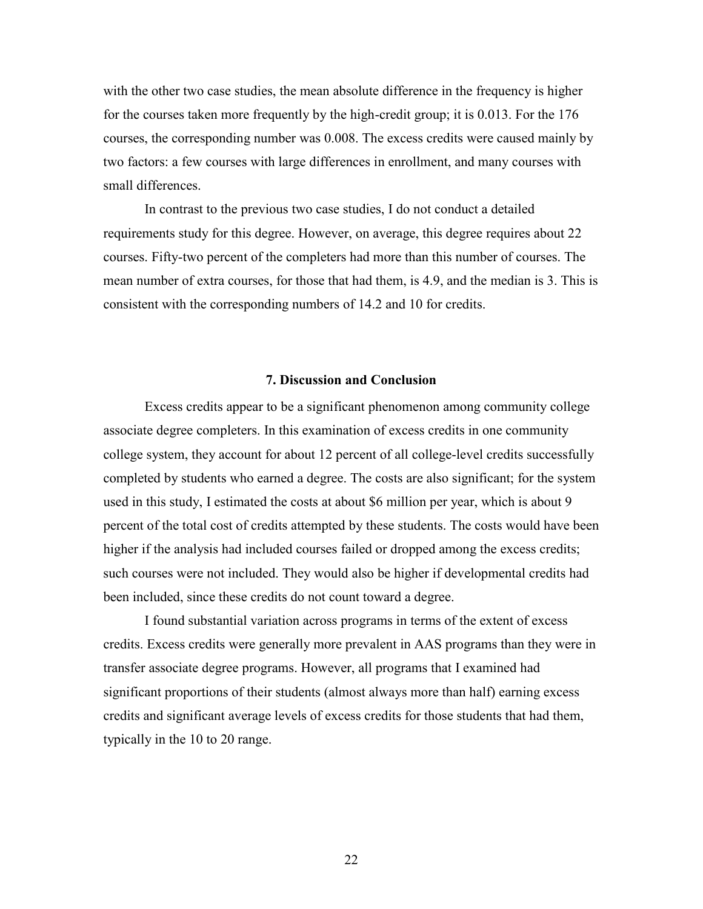with the other two case studies, the mean absolute difference in the frequency is higher for the courses taken more frequently by the high-credit group; it is 0.013. For the 176 courses, the corresponding number was 0.008. The excess credits were caused mainly by two factors: a few courses with large differences in enrollment, and many courses with small differences.

In contrast to the previous two case studies, I do not conduct a detailed requirements study for this degree. However, on average, this degree requires about 22 courses. Fifty-two percent of the completers had more than this number of courses. The mean number of extra courses, for those that had them, is 4.9, and the median is 3. This is consistent with the corresponding numbers of 14.2 and 10 for credits.

# **7. Discussion and Conclusion**

<span id="page-25-0"></span>Excess credits appear to be a significant phenomenon among community college associate degree completers. In this examination of excess credits in one community college system, they account for about 12 percent of all college-level credits successfully completed by students who earned a degree. The costs are also significant; for the system used in this study, I estimated the costs at about \$6 million per year, which is about 9 percent of the total cost of credits attempted by these students. The costs would have been higher if the analysis had included courses failed or dropped among the excess credits; such courses were not included. They would also be higher if developmental credits had been included, since these credits do not count toward a degree.

I found substantial variation across programs in terms of the extent of excess credits. Excess credits were generally more prevalent in AAS programs than they were in transfer associate degree programs. However, all programs that I examined had significant proportions of their students (almost always more than half) earning excess credits and significant average levels of excess credits for those students that had them, typically in the 10 to 20 range.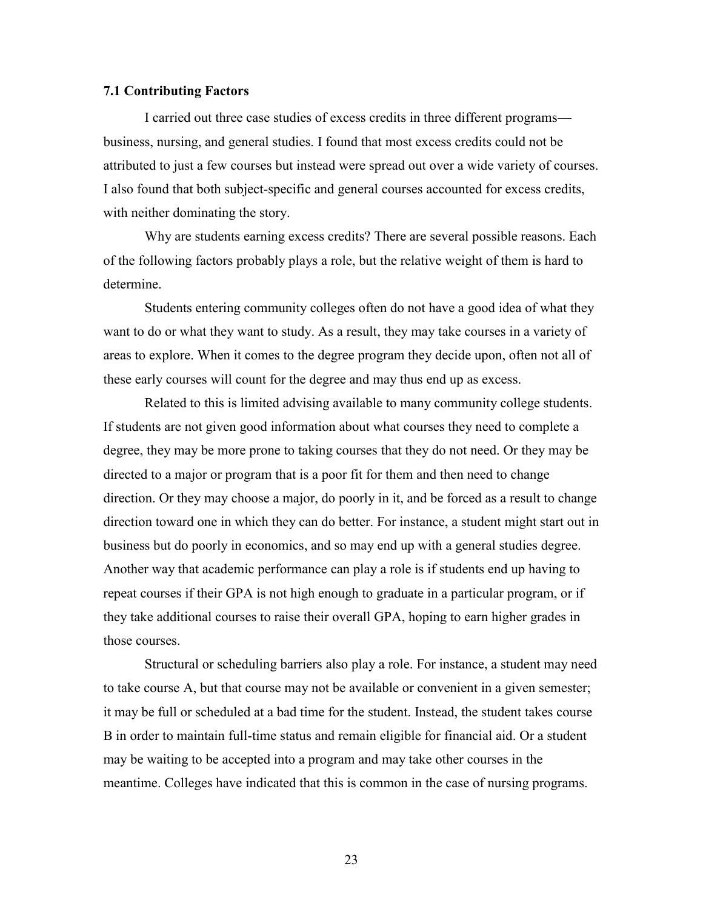## <span id="page-26-0"></span>**7.1 Contributing Factors**

I carried out three case studies of excess credits in three different programs business, nursing, and general studies. I found that most excess credits could not be attributed to just a few courses but instead were spread out over a wide variety of courses. I also found that both subject-specific and general courses accounted for excess credits, with neither dominating the story.

Why are students earning excess credits? There are several possible reasons. Each of the following factors probably plays a role, but the relative weight of them is hard to determine.

Students entering community colleges often do not have a good idea of what they want to do or what they want to study. As a result, they may take courses in a variety of areas to explore. When it comes to the degree program they decide upon, often not all of these early courses will count for the degree and may thus end up as excess.

Related to this is limited advising available to many community college students. If students are not given good information about what courses they need to complete a degree, they may be more prone to taking courses that they do not need. Or they may be directed to a major or program that is a poor fit for them and then need to change direction. Or they may choose a major, do poorly in it, and be forced as a result to change direction toward one in which they can do better. For instance, a student might start out in business but do poorly in economics, and so may end up with a general studies degree. Another way that academic performance can play a role is if students end up having to repeat courses if their GPA is not high enough to graduate in a particular program, or if they take additional courses to raise their overall GPA, hoping to earn higher grades in those courses.

Structural or scheduling barriers also play a role. For instance, a student may need to take course A, but that course may not be available or convenient in a given semester; it may be full or scheduled at a bad time for the student. Instead, the student takes course B in order to maintain full-time status and remain eligible for financial aid. Or a student may be waiting to be accepted into a program and may take other courses in the meantime. Colleges have indicated that this is common in the case of nursing programs.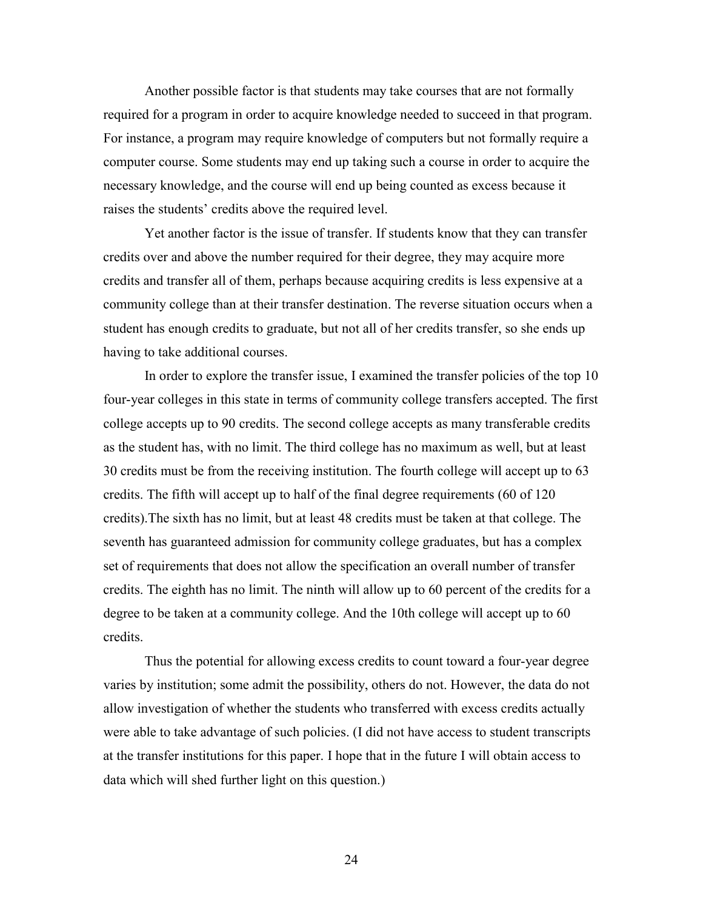Another possible factor is that students may take courses that are not formally required for a program in order to acquire knowledge needed to succeed in that program. For instance, a program may require knowledge of computers but not formally require a computer course. Some students may end up taking such a course in order to acquire the necessary knowledge, and the course will end up being counted as excess because it raises the students' credits above the required level.

Yet another factor is the issue of transfer. If students know that they can transfer credits over and above the number required for their degree, they may acquire more credits and transfer all of them, perhaps because acquiring credits is less expensive at a community college than at their transfer destination. The reverse situation occurs when a student has enough credits to graduate, but not all of her credits transfer, so she ends up having to take additional courses.

In order to explore the transfer issue, I examined the transfer policies of the top 10 four-year colleges in this state in terms of community college transfers accepted. The first college accepts up to 90 credits. The second college accepts as many transferable credits as the student has, with no limit. The third college has no maximum as well, but at least 30 credits must be from the receiving institution. The fourth college will accept up to 63 credits. The fifth will accept up to half of the final degree requirements (60 of 120 credits).The sixth has no limit, but at least 48 credits must be taken at that college. The seventh has guaranteed admission for community college graduates, but has a complex set of requirements that does not allow the specification an overall number of transfer credits. The eighth has no limit. The ninth will allow up to 60 percent of the credits for a degree to be taken at a community college. And the 10th college will accept up to 60 credits.

Thus the potential for allowing excess credits to count toward a four-year degree varies by institution; some admit the possibility, others do not. However, the data do not allow investigation of whether the students who transferred with excess credits actually were able to take advantage of such policies. (I did not have access to student transcripts at the transfer institutions for this paper. I hope that in the future I will obtain access to data which will shed further light on this question.)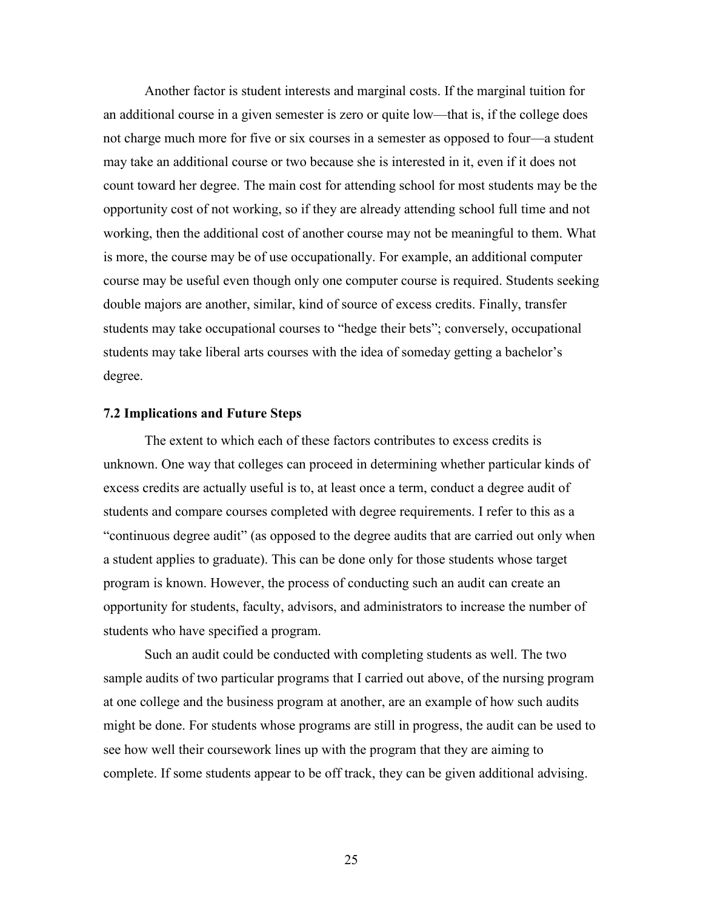Another factor is student interests and marginal costs. If the marginal tuition for an additional course in a given semester is zero or quite low—that is, if the college does not charge much more for five or six courses in a semester as opposed to four—a student may take an additional course or two because she is interested in it, even if it does not count toward her degree. The main cost for attending school for most students may be the opportunity cost of not working, so if they are already attending school full time and not working, then the additional cost of another course may not be meaningful to them. What is more, the course may be of use occupationally. For example, an additional computer course may be useful even though only one computer course is required. Students seeking double majors are another, similar, kind of source of excess credits. Finally, transfer students may take occupational courses to "hedge their bets"; conversely, occupational students may take liberal arts courses with the idea of someday getting a bachelor's degree.

### <span id="page-28-0"></span>**7.2 Implications and Future Steps**

The extent to which each of these factors contributes to excess credits is unknown. One way that colleges can proceed in determining whether particular kinds of excess credits are actually useful is to, at least once a term, conduct a degree audit of students and compare courses completed with degree requirements. I refer to this as a "continuous degree audit" (as opposed to the degree audits that are carried out only when a student applies to graduate). This can be done only for those students whose target program is known. However, the process of conducting such an audit can create an opportunity for students, faculty, advisors, and administrators to increase the number of students who have specified a program.

Such an audit could be conducted with completing students as well. The two sample audits of two particular programs that I carried out above, of the nursing program at one college and the business program at another, are an example of how such audits might be done. For students whose programs are still in progress, the audit can be used to see how well their coursework lines up with the program that they are aiming to complete. If some students appear to be off track, they can be given additional advising.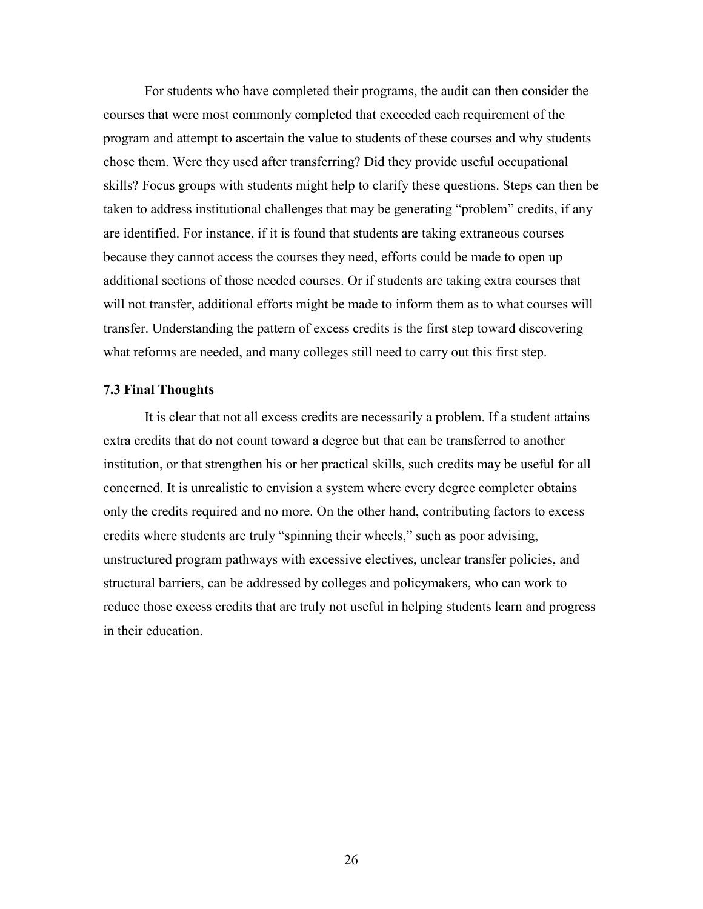For students who have completed their programs, the audit can then consider the courses that were most commonly completed that exceeded each requirement of the program and attempt to ascertain the value to students of these courses and why students chose them. Were they used after transferring? Did they provide useful occupational skills? Focus groups with students might help to clarify these questions. Steps can then be taken to address institutional challenges that may be generating "problem" credits, if any are identified. For instance, if it is found that students are taking extraneous courses because they cannot access the courses they need, efforts could be made to open up additional sections of those needed courses. Or if students are taking extra courses that will not transfer, additional efforts might be made to inform them as to what courses will transfer. Understanding the pattern of excess credits is the first step toward discovering what reforms are needed, and many colleges still need to carry out this first step.

#### <span id="page-29-0"></span>**7.3 Final Thoughts**

It is clear that not all excess credits are necessarily a problem. If a student attains extra credits that do not count toward a degree but that can be transferred to another institution, or that strengthen his or her practical skills, such credits may be useful for all concerned. It is unrealistic to envision a system where every degree completer obtains only the credits required and no more. On the other hand, contributing factors to excess credits where students are truly "spinning their wheels," such as poor advising, unstructured program pathways with excessive electives, unclear transfer policies, and structural barriers, can be addressed by colleges and policymakers, who can work to reduce those excess credits that are truly not useful in helping students learn and progress in their education.